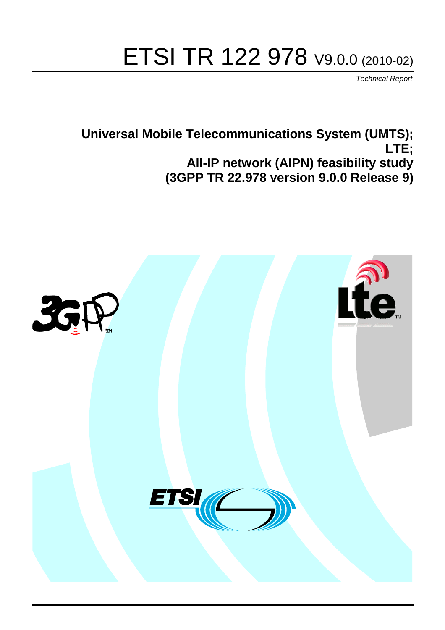# ETSI TR 122 978 V9.0.0 (2010-02)

*Technical Report*

## **Universal Mobile Telecommunications System (UMTS); LTE; All-IP network (AIPN) feasibility study (3GPP TR 22.978 version 9.0.0 Release 9)**

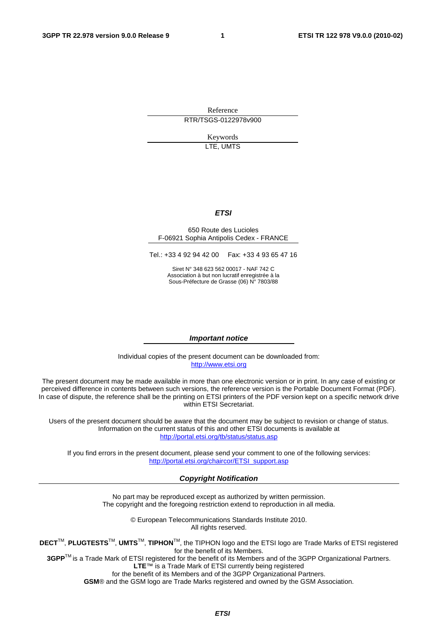Reference RTR/TSGS-0122978v900

> Keywords LTE, UMTS

#### *ETSI*

#### 650 Route des Lucioles F-06921 Sophia Antipolis Cedex - FRANCE

Tel.: +33 4 92 94 42 00 Fax: +33 4 93 65 47 16

Siret N° 348 623 562 00017 - NAF 742 C Association à but non lucratif enregistrée à la Sous-Préfecture de Grasse (06) N° 7803/88

#### *Important notice*

Individual copies of the present document can be downloaded from: [http://www.etsi.org](http://www.etsi.org/)

The present document may be made available in more than one electronic version or in print. In any case of existing or perceived difference in contents between such versions, the reference version is the Portable Document Format (PDF). In case of dispute, the reference shall be the printing on ETSI printers of the PDF version kept on a specific network drive within ETSI Secretariat.

Users of the present document should be aware that the document may be subject to revision or change of status. Information on the current status of this and other ETSI documents is available at <http://portal.etsi.org/tb/status/status.asp>

If you find errors in the present document, please send your comment to one of the following services: [http://portal.etsi.org/chaircor/ETSI\\_support.asp](http://portal.etsi.org/chaircor/ETSI_support.asp)

#### *Copyright Notification*

No part may be reproduced except as authorized by written permission. The copyright and the foregoing restriction extend to reproduction in all media.

> © European Telecommunications Standards Institute 2010. All rights reserved.

**DECT**TM, **PLUGTESTS**TM, **UMTS**TM, **TIPHON**TM, the TIPHON logo and the ETSI logo are Trade Marks of ETSI registered for the benefit of its Members.

**3GPP**TM is a Trade Mark of ETSI registered for the benefit of its Members and of the 3GPP Organizational Partners. **LTE**™ is a Trade Mark of ETSI currently being registered

for the benefit of its Members and of the 3GPP Organizational Partners.

**GSM**® and the GSM logo are Trade Marks registered and owned by the GSM Association.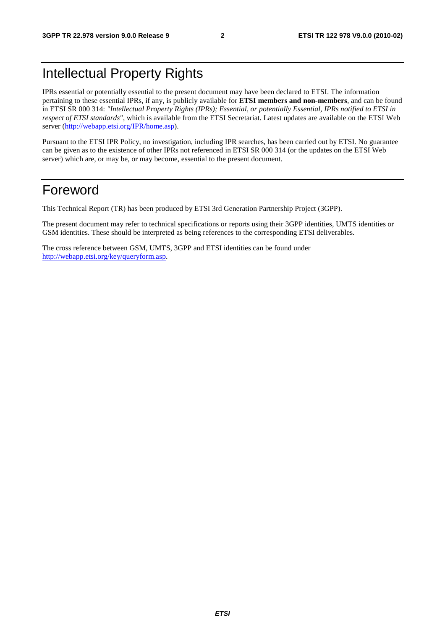## Intellectual Property Rights

IPRs essential or potentially essential to the present document may have been declared to ETSI. The information pertaining to these essential IPRs, if any, is publicly available for **ETSI members and non-members**, and can be found in ETSI SR 000 314: *"Intellectual Property Rights (IPRs); Essential, or potentially Essential, IPRs notified to ETSI in respect of ETSI standards"*, which is available from the ETSI Secretariat. Latest updates are available on the ETSI Web server [\(http://webapp.etsi.org/IPR/home.asp\)](http://webapp.etsi.org/IPR/home.asp).

Pursuant to the ETSI IPR Policy, no investigation, including IPR searches, has been carried out by ETSI. No guarantee can be given as to the existence of other IPRs not referenced in ETSI SR 000 314 (or the updates on the ETSI Web server) which are, or may be, or may become, essential to the present document.

## Foreword

This Technical Report (TR) has been produced by ETSI 3rd Generation Partnership Project (3GPP).

The present document may refer to technical specifications or reports using their 3GPP identities, UMTS identities or GSM identities. These should be interpreted as being references to the corresponding ETSI deliverables.

The cross reference between GSM, UMTS, 3GPP and ETSI identities can be found under [http://webapp.etsi.org/key/queryform.asp.](http://webapp.etsi.org/key/queryform.asp)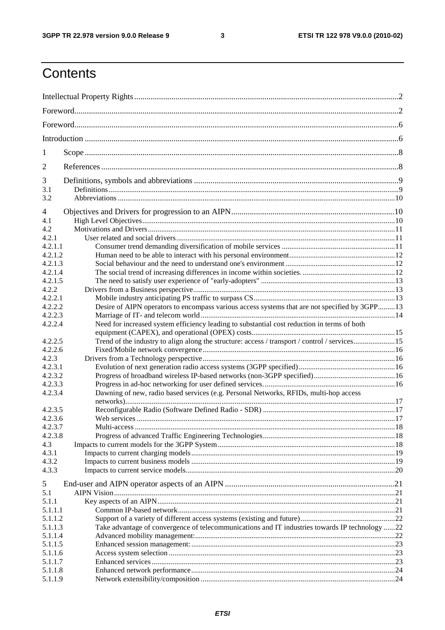#### $\mathbf{3}$

## Contents

| 1              |                                                                                                |  |
|----------------|------------------------------------------------------------------------------------------------|--|
| $\overline{2}$ |                                                                                                |  |
| 3              |                                                                                                |  |
| 3.1<br>3.2     |                                                                                                |  |
| $\overline{4}$ |                                                                                                |  |
| 4.1            |                                                                                                |  |
| 4.2            |                                                                                                |  |
| 4.2.1          |                                                                                                |  |
| 4.2.1.1        |                                                                                                |  |
| 4.2.1.2        |                                                                                                |  |
| 4.2.1.3        |                                                                                                |  |
| 4.2.1.4        |                                                                                                |  |
| 4.2.1.5        |                                                                                                |  |
| 4.2.2          |                                                                                                |  |
| 4.2.2.1        |                                                                                                |  |
| 4.2.2.2        | Desire of AIPN operators to encompass various access systems that are not specified by 3GPP13  |  |
| 4.2.2.3        |                                                                                                |  |
| 4.2.2.4        | Need for increased system efficiency leading to substantial cost reduction in terms of both    |  |
| 4.2.2.5        | Trend of the industry to align along the structure: access / transport / control / services15  |  |
| 4.2.2.6        |                                                                                                |  |
| 4.2.3          |                                                                                                |  |
| 4.2.3.1        |                                                                                                |  |
| 4.2.3.2        |                                                                                                |  |
| 4.2.3.3        |                                                                                                |  |
| 4.2.3.4        | Dawning of new, radio based services (e.g. Personal Networks, RFIDs, multi-hop access          |  |
| 4.2.3.5        |                                                                                                |  |
| 4.2.3.6        |                                                                                                |  |
| 4.2.3.7        |                                                                                                |  |
| 4.2.3.8        |                                                                                                |  |
| 4.3            |                                                                                                |  |
| 4.3.1          |                                                                                                |  |
| 4.3.2          |                                                                                                |  |
| 4.3.3          |                                                                                                |  |
|                |                                                                                                |  |
| 5              |                                                                                                |  |
| 5.1            |                                                                                                |  |
| 5.1.1          |                                                                                                |  |
| 5.1.1.1        |                                                                                                |  |
| 5.1.1.2        |                                                                                                |  |
| 5.1.1.3        | Take advantage of convergence of telecommunications and IT industries towards IP technology 22 |  |
| 5.1.1.4        |                                                                                                |  |
| 5.1.1.5        |                                                                                                |  |
| 5.1.1.6        |                                                                                                |  |
| 5.1.1.7        |                                                                                                |  |
| 5.1.1.8        |                                                                                                |  |
| 5.1.1.9        |                                                                                                |  |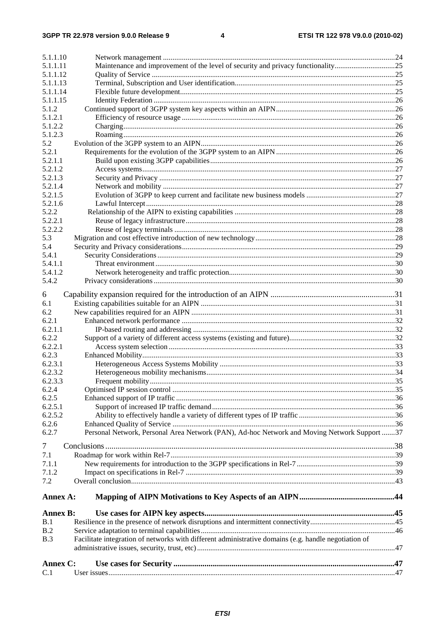| Personal Network, Personal Area Network (PAN), Ad-hoc Network and Moving Network Support 37<br>Annex A:<br><b>Annex B:</b><br>Facilitate integration of networks with different administrative domains (e.g. handle negotiation of<br>Annex C: |                                                                                  |
|------------------------------------------------------------------------------------------------------------------------------------------------------------------------------------------------------------------------------------------------|----------------------------------------------------------------------------------|
|                                                                                                                                                                                                                                                |                                                                                  |
|                                                                                                                                                                                                                                                |                                                                                  |
|                                                                                                                                                                                                                                                |                                                                                  |
|                                                                                                                                                                                                                                                |                                                                                  |
|                                                                                                                                                                                                                                                |                                                                                  |
|                                                                                                                                                                                                                                                |                                                                                  |
|                                                                                                                                                                                                                                                |                                                                                  |
|                                                                                                                                                                                                                                                |                                                                                  |
|                                                                                                                                                                                                                                                |                                                                                  |
|                                                                                                                                                                                                                                                |                                                                                  |
|                                                                                                                                                                                                                                                |                                                                                  |
|                                                                                                                                                                                                                                                |                                                                                  |
|                                                                                                                                                                                                                                                |                                                                                  |
|                                                                                                                                                                                                                                                |                                                                                  |
|                                                                                                                                                                                                                                                |                                                                                  |
|                                                                                                                                                                                                                                                |                                                                                  |
|                                                                                                                                                                                                                                                |                                                                                  |
|                                                                                                                                                                                                                                                |                                                                                  |
|                                                                                                                                                                                                                                                |                                                                                  |
|                                                                                                                                                                                                                                                |                                                                                  |
|                                                                                                                                                                                                                                                |                                                                                  |
|                                                                                                                                                                                                                                                |                                                                                  |
|                                                                                                                                                                                                                                                |                                                                                  |
|                                                                                                                                                                                                                                                |                                                                                  |
|                                                                                                                                                                                                                                                |                                                                                  |
|                                                                                                                                                                                                                                                |                                                                                  |
|                                                                                                                                                                                                                                                |                                                                                  |
|                                                                                                                                                                                                                                                |                                                                                  |
|                                                                                                                                                                                                                                                |                                                                                  |
|                                                                                                                                                                                                                                                |                                                                                  |
|                                                                                                                                                                                                                                                |                                                                                  |
|                                                                                                                                                                                                                                                |                                                                                  |
|                                                                                                                                                                                                                                                |                                                                                  |
|                                                                                                                                                                                                                                                |                                                                                  |
|                                                                                                                                                                                                                                                |                                                                                  |
|                                                                                                                                                                                                                                                |                                                                                  |
|                                                                                                                                                                                                                                                |                                                                                  |
|                                                                                                                                                                                                                                                |                                                                                  |
|                                                                                                                                                                                                                                                |                                                                                  |
|                                                                                                                                                                                                                                                |                                                                                  |
|                                                                                                                                                                                                                                                |                                                                                  |
|                                                                                                                                                                                                                                                |                                                                                  |
|                                                                                                                                                                                                                                                |                                                                                  |
|                                                                                                                                                                                                                                                |                                                                                  |
|                                                                                                                                                                                                                                                |                                                                                  |
|                                                                                                                                                                                                                                                |                                                                                  |
|                                                                                                                                                                                                                                                |                                                                                  |
|                                                                                                                                                                                                                                                |                                                                                  |
|                                                                                                                                                                                                                                                |                                                                                  |
|                                                                                                                                                                                                                                                |                                                                                  |
|                                                                                                                                                                                                                                                |                                                                                  |
|                                                                                                                                                                                                                                                |                                                                                  |
|                                                                                                                                                                                                                                                |                                                                                  |
|                                                                                                                                                                                                                                                |                                                                                  |
|                                                                                                                                                                                                                                                |                                                                                  |
|                                                                                                                                                                                                                                                |                                                                                  |
| 5.1.1.15                                                                                                                                                                                                                                       |                                                                                  |
|                                                                                                                                                                                                                                                |                                                                                  |
|                                                                                                                                                                                                                                                |                                                                                  |
|                                                                                                                                                                                                                                                |                                                                                  |
|                                                                                                                                                                                                                                                |                                                                                  |
|                                                                                                                                                                                                                                                |                                                                                  |
| 5.1.1.10<br>5.1.1.11<br>5.1.1.12<br>5.1.1.13<br>5.1.1.14                                                                                                                                                                                       | Maintenance and improvement of the level of security and privacy functionality25 |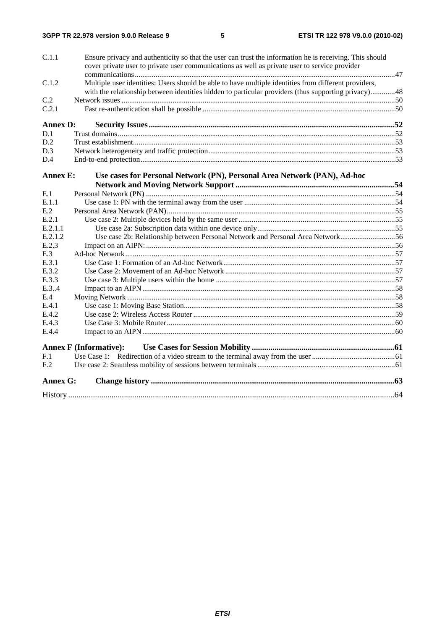| C.1.1           | Ensure privacy and authenticity so that the user can trust the information he is receiving. This should<br>cover private user to private user communications as well as private user to service provider |  |
|-----------------|----------------------------------------------------------------------------------------------------------------------------------------------------------------------------------------------------------|--|
|                 |                                                                                                                                                                                                          |  |
| C.1.2           | Multiple user identities: Users should be able to have multiple identities from different providers,                                                                                                     |  |
|                 | with the relationship between identities hidden to particular providers (thus supporting privacy)48                                                                                                      |  |
| C.2             |                                                                                                                                                                                                          |  |
| C.2.1           |                                                                                                                                                                                                          |  |
| <b>Annex D:</b> |                                                                                                                                                                                                          |  |
| D.1             |                                                                                                                                                                                                          |  |
| D.2             |                                                                                                                                                                                                          |  |
| D.3             |                                                                                                                                                                                                          |  |
| D.4             |                                                                                                                                                                                                          |  |
| <b>Annex E:</b> | Use cases for Personal Network (PN), Personal Area Network (PAN), Ad-hoc                                                                                                                                 |  |
|                 |                                                                                                                                                                                                          |  |
| E.1             |                                                                                                                                                                                                          |  |
| E.1.1           |                                                                                                                                                                                                          |  |
| E.2             |                                                                                                                                                                                                          |  |
| E.2.1           |                                                                                                                                                                                                          |  |
| E.2.1.1         |                                                                                                                                                                                                          |  |
| E.2.1.2         | Use case 2b: Relationship between Personal Network and Personal Area Network56                                                                                                                           |  |
| E.2.3           |                                                                                                                                                                                                          |  |
| E.3             |                                                                                                                                                                                                          |  |
| E.3.1           |                                                                                                                                                                                                          |  |
| E.3.2           |                                                                                                                                                                                                          |  |
| E.3.3           |                                                                                                                                                                                                          |  |
| E.3.4           |                                                                                                                                                                                                          |  |
| E.4             |                                                                                                                                                                                                          |  |
| E.4.1           |                                                                                                                                                                                                          |  |
| E.4.2           |                                                                                                                                                                                                          |  |
| E.4.3           |                                                                                                                                                                                                          |  |
| E.4.4           |                                                                                                                                                                                                          |  |
|                 | <b>Annex F (Informative):</b>                                                                                                                                                                            |  |
| F.1             |                                                                                                                                                                                                          |  |
| F <sub>.2</sub> |                                                                                                                                                                                                          |  |
| <b>Annex G:</b> |                                                                                                                                                                                                          |  |
|                 |                                                                                                                                                                                                          |  |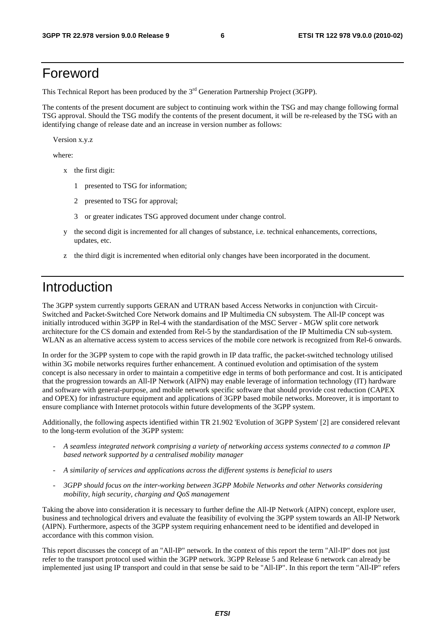## Foreword

This Technical Report has been produced by the  $3<sup>rd</sup>$  Generation Partnership Project (3GPP).

The contents of the present document are subject to continuing work within the TSG and may change following formal TSG approval. Should the TSG modify the contents of the present document, it will be re-released by the TSG with an identifying change of release date and an increase in version number as follows:

Version x.y.z

where:

- x the first digit:
	- 1 presented to TSG for information;
	- 2 presented to TSG for approval;
	- 3 or greater indicates TSG approved document under change control.
- y the second digit is incremented for all changes of substance, i.e. technical enhancements, corrections, updates, etc.
- z the third digit is incremented when editorial only changes have been incorporated in the document.

## Introduction

The 3GPP system currently supports GERAN and UTRAN based Access Networks in conjunction with Circuit-Switched and Packet-Switched Core Network domains and IP Multimedia CN subsystem. The All-IP concept was initially introduced within 3GPP in Rel-4 with the standardisation of the MSC Server - MGW split core network architecture for the CS domain and extended from Rel-5 by the standardisation of the IP Multimedia CN sub-system. WLAN as an alternative access system to access services of the mobile core network is recognized from Rel-6 onwards.

In order for the 3GPP system to cope with the rapid growth in IP data traffic, the packet-switched technology utilised within 3G mobile networks requires further enhancement. A continued evolution and optimisation of the system concept is also necessary in order to maintain a competitive edge in terms of both performance and cost. It is anticipated that the progression towards an All-IP Network (AIPN) may enable leverage of information technology (IT) hardware and software with general-purpose, and mobile network specific software that should provide cost reduction (CAPEX and OPEX) for infrastructure equipment and applications of 3GPP based mobile networks. Moreover, it is important to ensure compliance with Internet protocols within future developments of the 3GPP system.

Additionally, the following aspects identified within TR 21.902 'Evolution of 3GPP System' [2] are considered relevant to the long-term evolution of the 3GPP system:

- *A seamless integrated network comprising a variety of networking access systems connected to a common IP based network supported by a centralised mobility manager*
- *A similarity of services and applications across the different systems is beneficial to users*
- *3GPP should focus on the inter-working between 3GPP Mobile Networks and other Networks considering mobility, high security, charging and QoS management*

Taking the above into consideration it is necessary to further define the All-IP Network (AIPN) concept, explore user, business and technological drivers and evaluate the feasibility of evolving the 3GPP system towards an All-IP Network (AIPN). Furthermore, aspects of the 3GPP system requiring enhancement need to be identified and developed in accordance with this common vision.

This report discusses the concept of an "All-IP" network. In the context of this report the term "All-IP" does not just refer to the transport protocol used within the 3GPP network. 3GPP Release 5 and Release 6 network can already be implemented just using IP transport and could in that sense be said to be "All-IP". In this report the term "All-IP" refers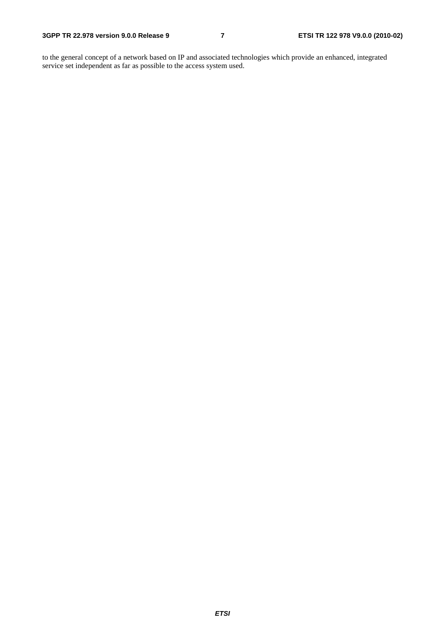to the general concept of a network based on IP and associated technologies which provide an enhanced, integrated service set independent as far as possible to the access system used.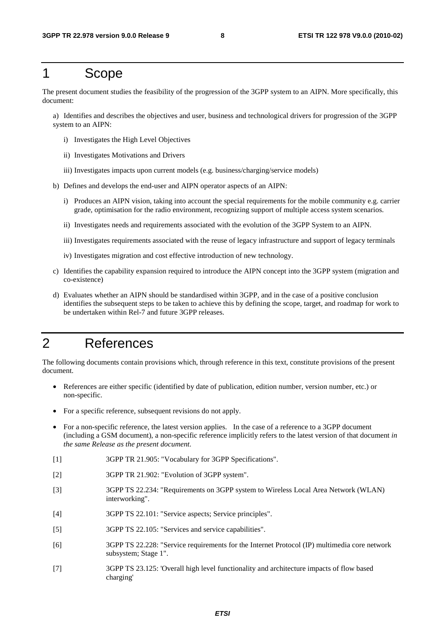## 1 Scope

The present document studies the feasibility of the progression of the 3GPP system to an AIPN. More specifically, this document:

a) Identifies and describes the objectives and user, business and technological drivers for progression of the 3GPP system to an AIPN:

- i) Investigates the High Level Objectives
- ii) Investigates Motivations and Drivers
- iii) Investigates impacts upon current models (e.g. business/charging/service models)
- b) Defines and develops the end-user and AIPN operator aspects of an AIPN:
	- i) Produces an AIPN vision, taking into account the special requirements for the mobile community e.g. carrier grade, optimisation for the radio environment, recognizing support of multiple access system scenarios.
	- ii) Investigates needs and requirements associated with the evolution of the 3GPP System to an AIPN.
	- iii) Investigates requirements associated with the reuse of legacy infrastructure and support of legacy terminals
	- iv) Investigates migration and cost effective introduction of new technology.
- c) Identifies the capability expansion required to introduce the AIPN concept into the 3GPP system (migration and co-existence)
- d) Evaluates whether an AIPN should be standardised within 3GPP, and in the case of a positive conclusion identifies the subsequent steps to be taken to achieve this by defining the scope, target, and roadmap for work to be undertaken within Rel-7 and future 3GPP releases.

## 2 References

The following documents contain provisions which, through reference in this text, constitute provisions of the present document.

- References are either specific (identified by date of publication, edition number, version number, etc.) or non-specific.
- For a specific reference, subsequent revisions do not apply.
- For a non-specific reference, the latest version applies. In the case of a reference to a 3GPP document (including a GSM document), a non-specific reference implicitly refers to the latest version of that document *in the same Release as the present document*.
- [1] 3GPP TR 21.905: "Vocabulary for 3GPP Specifications".
- [2] 3GPP TR 21.902: "Evolution of 3GPP system".
- [3] 3GPP TS 22.234: "Requirements on 3GPP system to Wireless Local Area Network (WLAN) interworking".
- [4] 3GPP TS 22.101: "Service aspects; Service principles".
- [5] 3GPP TS 22.105: "Services and service capabilities".
- [6] 3GPP TS 22.228: "Service requirements for the Internet Protocol (IP) multimedia core network subsystem; Stage 1".
- [7] 3GPP TS 23.125: 'Overall high level functionality and architecture impacts of flow based charging'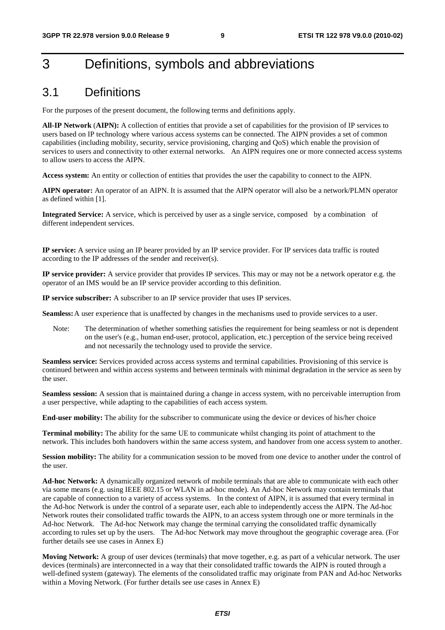## 3 Definitions, symbols and abbreviations

## 3.1 Definitions

For the purposes of the present document, the following terms and definitions apply.

**All-IP Network** (**AIPN):** A collection of entities that provide a set of capabilities for the provision of IP services to users based on IP technology where various access systems can be connected. The AIPN provides a set of common capabilities (including mobility, security, service provisioning, charging and QoS) which enable the provision of services to users and connectivity to other external networks. An AIPN requires one or more connected access systems to allow users to access the AIPN.

**Access system:** An entity or collection of entities that provides the user the capability to connect to the AIPN.

**AIPN operator:** An operator of an AIPN. It is assumed that the AIPN operator will also be a network/PLMN operator as defined within [1].

**Integrated Service:** A service, which is perceived by user as a single service, composed by a combination of different independent services.

**IP service:** A service using an IP bearer provided by an IP service provider. For IP services data traffic is routed according to the IP addresses of the sender and receiver(s).

**IP service provider:** A service provider that provides IP services. This may or may not be a network operator e.g. the operator of an IMS would be an IP service provider according to this definition.

**IP service subscriber:** A subscriber to an IP service provider that uses IP services.

**Seamless:** A user experience that is unaffected by changes in the mechanisms used to provide services to a user.

Note: The determination of whether something satisfies the requirement for being seamless or not is dependent on the user's (e.g., human end-user, protocol, application, etc.) perception of the service being received and not necessarily the technology used to provide the service.

**Seamless service:** Services provided across access systems and terminal capabilities. Provisioning of this service is continued between and within access systems and between terminals with minimal degradation in the service as seen by the user.

**Seamless session:** A session that is maintained during a change in access system, with no perceivable interruption from a user perspective, while adapting to the capabilities of each access system.

**End-user mobility:** The ability for the subscriber to communicate using the device or devices of his/her choice

**Terminal mobility:** The ability for the same UE to communicate whilst changing its point of attachment to the network. This includes both handovers within the same access system, and handover from one access system to another.

**Session mobility:** The ability for a communication session to be moved from one device to another under the control of the user.

**Ad-hoc Network:** A dynamically organized network of mobile terminals that are able to communicate with each other via some means (e.g. using IEEE 802.15 or WLAN in ad-hoc mode). An Ad-hoc Network may contain terminals that are capable of connection to a variety of access systems. In the context of AIPN, it is assumed that every terminal in the Ad-hoc Network is under the control of a separate user, each able to independently access the AIPN. The Ad-hoc Network routes their consolidated traffic towards the AIPN, to an access system through one or more terminals in the Ad-hoc Network. The Ad-hoc Network may change the terminal carrying the consolidated traffic dynamically according to rules set up by the users. The Ad-hoc Network may move throughout the geographic coverage area. (For further details see use cases in Annex E)

**Moving Network:** A group of user devices (terminals) that move together, e.g. as part of a vehicular network. The user devices (terminals) are interconnected in a way that their consolidated traffic towards the AIPN is routed through a well-defined system (gateway). The elements of the consolidated traffic may originate from PAN and Ad-hoc Networks within a Moving Network. (For further details see use cases in Annex E)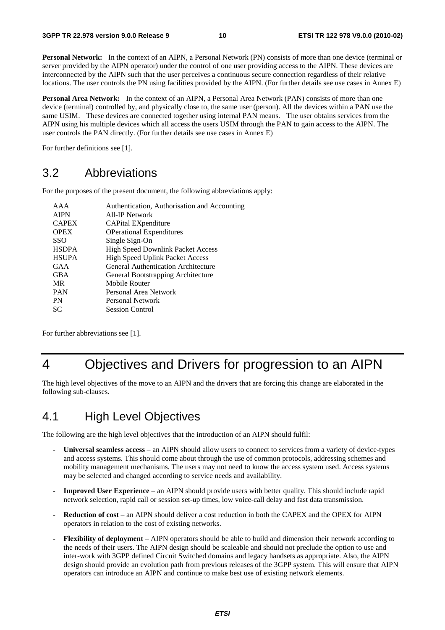**Personal Network:** In the context of an AIPN, a Personal Network (PN) consists of more than one device (terminal or server provided by the AIPN operator) under the control of one user providing access to the AIPN. These devices are interconnected by the AIPN such that the user perceives a continuous secure connection regardless of their relative locations. The user controls the PN using facilities provided by the AIPN. (For further details see use cases in Annex E)

**Personal Area Network:** In the context of an AIPN, a Personal Area Network (PAN) consists of more than one device (terminal) controlled by, and physically close to, the same user (person). All the devices within a PAN use the same USIM. These devices are connected together using internal PAN means. The user obtains services from the AIPN using his multiple devices which all access the users USIM through the PAN to gain access to the AIPN. The user controls the PAN directly. (For further details see use cases in Annex E)

For further definitions see [1].

## 3.2 Abbreviations

For the purposes of the present document, the following abbreviations apply:

| AAA          | Authentication, Authorisation and Accounting |
|--------------|----------------------------------------------|
| <b>AIPN</b>  | All-IP Network                               |
| <b>CAPEX</b> | CAPital EXpenditure                          |
| <b>OPEX</b>  | <b>OPerational Expenditures</b>              |
| <b>SSO</b>   | Single Sign-On                               |
| <b>HSDPA</b> | <b>High Speed Downlink Packet Access</b>     |
| <b>HSUPA</b> | <b>High Speed Uplink Packet Access</b>       |
| GAA          | General Authentication Architecture          |
| <b>GBA</b>   | General Bootstrapping Architecture           |
| MR           | Mobile Router                                |
| <b>PAN</b>   | Personal Area Network                        |
| <b>PN</b>    | Personal Network                             |
| SС           | <b>Session Control</b>                       |
|              |                                              |

For further abbreviations see [1].

## 4 Objectives and Drivers for progression to an AIPN

The high level objectives of the move to an AIPN and the drivers that are forcing this change are elaborated in the following sub-clauses.

## 4.1 High Level Objectives

The following are the high level objectives that the introduction of an AIPN should fulfil:

- **Universal seamless access** an AIPN should allow users to connect to services from a variety of device-types and access systems. This should come about through the use of common protocols, addressing schemes and mobility management mechanisms. The users may not need to know the access system used. Access systems may be selected and changed according to service needs and availability.
- **Improved User Experience**  an AIPN should provide users with better quality. This should include rapid network selection, rapid call or session set-up times, low voice-call delay and fast data transmission.
- **Reduction of cost** an AIPN should deliver a cost reduction in both the CAPEX and the OPEX for AIPN operators in relation to the cost of existing networks.
- **Flexibility of deployment** AIPN operators should be able to build and dimension their network according to the needs of their users. The AIPN design should be scaleable and should not preclude the option to use and inter-work with 3GPP defined Circuit Switched domains and legacy handsets as appropriate. Also, the AIPN design should provide an evolution path from previous releases of the 3GPP system. This will ensure that AIPN operators can introduce an AIPN and continue to make best use of existing network elements.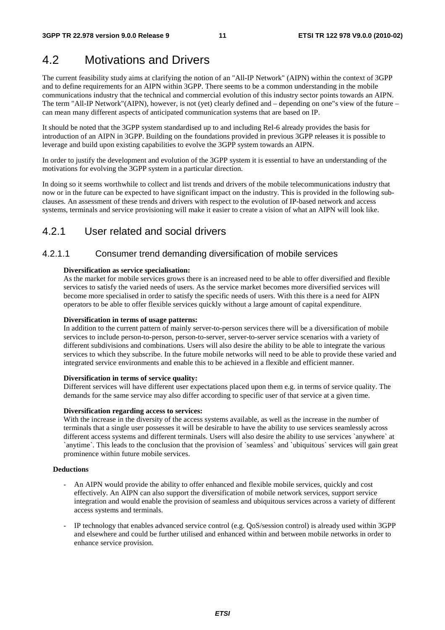## 4.2 Motivations and Drivers

The current feasibility study aims at clarifying the notion of an "All-IP Network" (AIPN) within the context of 3GPP and to define requirements for an AIPN within 3GPP. There seems to be a common understanding in the mobile communications industry that the technical and commercial evolution of this industry sector points towards an AIPN. The term "All-IP Network"(AIPN), however, is not (yet) clearly defined and – depending on one"s view of the future – can mean many different aspects of anticipated communication systems that are based on IP.

It should be noted that the 3GPP system standardised up to and including Rel-6 already provides the basis for introduction of an AIPN in 3GPP. Building on the foundations provided in previous 3GPP releases it is possible to leverage and build upon existing capabilities to evolve the 3GPP system towards an AIPN.

In order to justify the development and evolution of the 3GPP system it is essential to have an understanding of the motivations for evolving the 3GPP system in a particular direction.

In doing so it seems worthwhile to collect and list trends and drivers of the mobile telecommunications industry that now or in the future can be expected to have significant impact on the industry. This is provided in the following subclauses. An assessment of these trends and drivers with respect to the evolution of IP-based network and access systems, terminals and service provisioning will make it easier to create a vision of what an AIPN will look like.

### 4.2.1 User related and social drivers

#### 4.2.1.1 Consumer trend demanding diversification of mobile services

#### **Diversification as service specialisation:**

As the market for mobile services grows there is an increased need to be able to offer diversified and flexible services to satisfy the varied needs of users. As the service market becomes more diversified services will become more specialised in order to satisfy the specific needs of users. With this there is a need for AIPN operators to be able to offer flexible services quickly without a large amount of capital expenditure.

#### **Diversification in terms of usage patterns:**

In addition to the current pattern of mainly server-to-person services there will be a diversification of mobile services to include person-to-person, person-to-server, server-to-server service scenarios with a variety of different subdivisions and combinations. Users will also desire the ability to be able to integrate the various services to which they subscribe. In the future mobile networks will need to be able to provide these varied and integrated service environments and enable this to be achieved in a flexible and efficient manner.

#### **Diversification in terms of service quality:**

Different services will have different user expectations placed upon them e.g. in terms of service quality. The demands for the same service may also differ according to specific user of that service at a given time.

#### **Diversification regarding access to services:**

With the increase in the diversity of the access systems available, as well as the increase in the number of terminals that a single user possesses it will be desirable to have the ability to use services seamlessly across different access systems and different terminals. Users will also desire the ability to use services `anywhere` at `anytime`. This leads to the conclusion that the provision of `seamless` and `ubiquitous` services will gain great prominence within future mobile services.

#### **Deductions**

- An AIPN would provide the ability to offer enhanced and flexible mobile services, quickly and cost effectively. An AIPN can also support the diversification of mobile network services, support service integration and would enable the provision of seamless and ubiquitous services across a variety of different access systems and terminals.
- IP technology that enables advanced service control (e.g. QoS/session control) is already used within 3GPP and elsewhere and could be further utilised and enhanced within and between mobile networks in order to enhance service provision.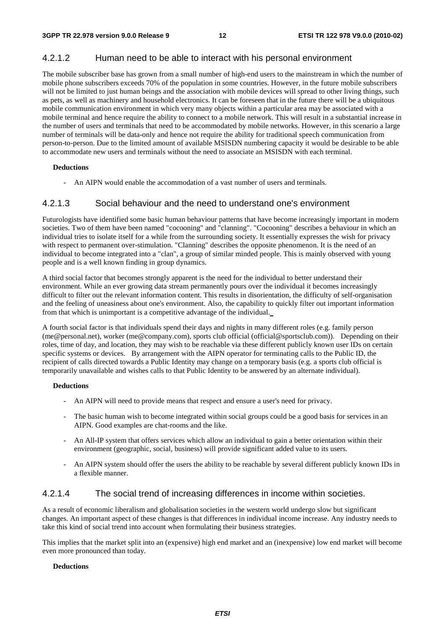#### 4.2.1.2 Human need to be able to interact with his personal environment

The mobile subscriber base has grown from a small number of high-end users to the mainstream in which the number of mobile phone subscribers exceeds 70% of the population in some countries. However, in the future mobile subscribers will not be limited to just human beings and the association with mobile devices will spread to other living things, such as pets, as well as machinery and household electronics. It can be foreseen that in the future there will be a ubiquitous mobile communication environment in which very many objects within a particular area may be associated with a mobile terminal and hence require the ability to connect to a mobile network. This will result in a substantial increase in the number of users and terminals that need to be accommodated by mobile networks. However, in this scenario a large number of terminals will be data-only and hence not require the ability for traditional speech communication from person-to-person. Due to the limited amount of available MSISDN numbering capacity it would be desirable to be able to accommodate new users and terminals without the need to associate an MSISDN with each terminal.

#### **Deductions**

An AIPN would enable the accommodation of a vast number of users and terminals.

#### 4.2.1.3 Social behaviour and the need to understand one's environment

Futurologists have identified some basic human behaviour patterns that have become increasingly important in modern societies. Two of them have been named "cocooning" and "clanning". "Cocooning" describes a behaviour in which an individual tries to isolate itself for a while from the surrounding society. It essentially expresses the wish for privacy with respect to permanent over-stimulation. "Clanning" describes the opposite phenomenon. It is the need of an individual to become integrated into a "clan", a group of similar minded people. This is mainly observed with young people and is a well known finding in group dynamics.

A third social factor that becomes strongly apparent is the need for the individual to better understand their environment. While an ever growing data stream permanently pours over the individual it becomes increasingly difficult to filter out the relevant information content. This results in disorientation, the difficulty of self-organisation and the feeling of uneasiness about one's environment. Also, the capability to quickly filter out important information from that which is unimportant is a competitive advantage of the individual.

A fourth social factor is that individuals spend their days and nights in many different roles (e.g. family person (me@personal.net), worker (me@company.com), sports club official (official@sportsclub.com)). Depending on their roles, time of day, and location, they may wish to be reachable via these different publicly known user IDs on certain specific systems or devices. By arrangement with the AIPN operator for terminating calls to the Public ID, the recipient of calls directed towards a Public Identity may change on a temporary basis (e.g. a sports club official is temporarily unavailable and wishes calls to that Public Identity to be answered by an alternate individual).

#### **Deductions**

- An AIPN will need to provide means that respect and ensure a user's need for privacy.
- The basic human wish to become integrated within social groups could be a good basis for services in an AIPN. Good examples are chat-rooms and the like.
- An All-IP system that offers services which allow an individual to gain a better orientation within their environment (geographic, social, business) will provide significant added value to its users.
- An AIPN system should offer the users the ability to be reachable by several different publicly known IDs in a flexible manner.

#### 4.2.1.4 The social trend of increasing differences in income within societies.

As a result of economic liberalism and globalisation societies in the western world undergo slow but significant changes. An important aspect of these changes is that differences in individual income increase. Any industry needs to take this kind of social trend into account when formulating their business strategies.

This implies that the market split into an (expensive) high end market and an (inexpensive) low end market will become even more pronounced than today.

#### **Deductions**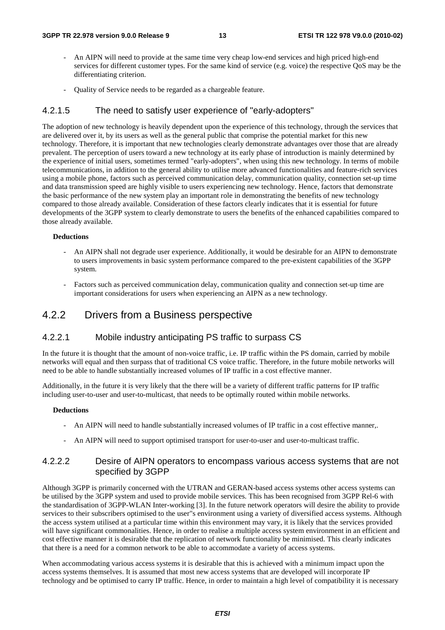- An AIPN will need to provide at the same time very cheap low-end services and high priced high-end services for different customer types. For the same kind of service (e.g. voice) the respective QoS may be the differentiating criterion.
- Quality of Service needs to be regarded as a chargeable feature.

#### 4.2.1.5 The need to satisfy user experience of "early-adopters"

The adoption of new technology is heavily dependent upon the experience of this technology, through the services that are delivered over it, by its users as well as the general public that comprise the potential market for this new technology. Therefore, it is important that new technologies clearly demonstrate advantages over those that are already prevalent. The perception of users toward a new technology at its early phase of introduction is mainly determined by the experience of initial users, sometimes termed "early-adopters", when using this new technology. In terms of mobile telecommunications, in addition to the general ability to utilise more advanced functionalities and feature-rich services using a mobile phone, factors such as perceived communication delay, communication quality, connection set-up time and data transmission speed are highly visible to users experiencing new technology. Hence, factors that demonstrate the basic performance of the new system play an important role in demonstrating the benefits of new technology compared to those already available. Consideration of these factors clearly indicates that it is essential for future developments of the 3GPP system to clearly demonstrate to users the benefits of the enhanced capabilities compared to those already available.

#### **Deductions**

- An AIPN shall not degrade user experience. Additionally, it would be desirable for an AIPN to demonstrate to users improvements in basic system performance compared to the pre-existent capabilities of the 3GPP system.
- Factors such as perceived communication delay, communication quality and connection set-up time are important considerations for users when experiencing an AIPN as a new technology.

### 4.2.2 Drivers from a Business perspective

#### 4.2.2.1 Mobile industry anticipating PS traffic to surpass CS

In the future it is thought that the amount of non-voice traffic, i.e. IP traffic within the PS domain, carried by mobile networks will equal and then surpass that of traditional CS voice traffic. Therefore, in the future mobile networks will need to be able to handle substantially increased volumes of IP traffic in a cost effective manner.

Additionally, in the future it is very likely that the there will be a variety of different traffic patterns for IP traffic including user-to-user and user-to-multicast, that needs to be optimally routed within mobile networks.

#### **Deductions**

- An AIPN will need to handle substantially increased volumes of IP traffic in a cost effective manner,.
- An AIPN will need to support optimised transport for user-to-user and user-to-multicast traffic.

#### 4.2.2.2 Desire of AIPN operators to encompass various access systems that are not specified by 3GPP

Although 3GPP is primarily concerned with the UTRAN and GERAN-based access systems other access systems can be utilised by the 3GPP system and used to provide mobile services. This has been recognised from 3GPP Rel-6 with the standardisation of 3GPP-WLAN Inter-working [3]. In the future network operators will desire the ability to provide services to their subscribers optimised to the user"s environment using a variety of diversified access systems. Although the access system utilised at a particular time within this environment may vary, it is likely that the services provided will have significant commonalities. Hence, in order to realise a multiple access system environment in an efficient and cost effective manner it is desirable that the replication of network functionality be minimised. This clearly indicates that there is a need for a common network to be able to accommodate a variety of access systems.

When accommodating various access systems it is desirable that this is achieved with a minimum impact upon the access systems themselves. It is assumed that most new access systems that are developed will incorporate IP technology and be optimised to carry IP traffic. Hence, in order to maintain a high level of compatibility it is necessary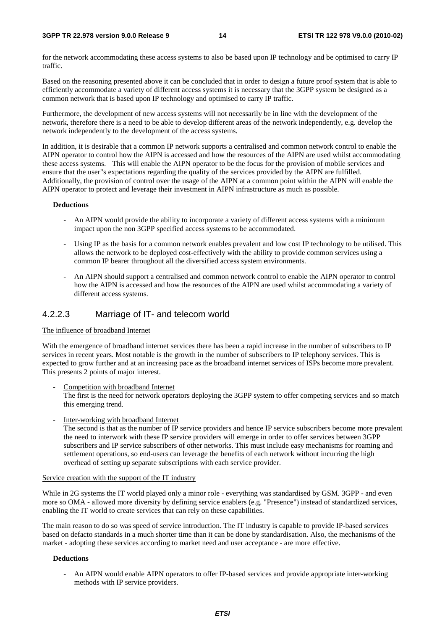#### **3GPP TR 22.978 version 9.0.0 Release 9 14 ETSI TR 122 978 V9.0.0 (2010-02)**

for the network accommodating these access systems to also be based upon IP technology and be optimised to carry IP traffic.

Based on the reasoning presented above it can be concluded that in order to design a future proof system that is able to efficiently accommodate a variety of different access systems it is necessary that the 3GPP system be designed as a common network that is based upon IP technology and optimised to carry IP traffic.

Furthermore, the development of new access systems will not necessarily be in line with the development of the network, therefore there is a need to be able to develop different areas of the network independently, e.g. develop the network independently to the development of the access systems.

In addition, it is desirable that a common IP network supports a centralised and common network control to enable the AIPN operator to control how the AIPN is accessed and how the resources of the AIPN are used whilst accommodating these access systems. This will enable the AIPN operator to be the focus for the provision of mobile services and ensure that the user"s expectations regarding the quality of the services provided by the AIPN are fulfilled. Additionally, the provision of control over the usage of the AIPN at a common point within the AIPN will enable the AIPN operator to protect and leverage their investment in AIPN infrastructure as much as possible.

#### **Deductions**

- An AIPN would provide the ability to incorporate a variety of different access systems with a minimum impact upon the non 3GPP specified access systems to be accommodated.
- Using IP as the basis for a common network enables prevalent and low cost IP technology to be utilised. This allows the network to be deployed cost-effectively with the ability to provide common services using a common IP bearer throughout all the diversified access system environments.
- An AIPN should support a centralised and common network control to enable the AIPN operator to control how the AIPN is accessed and how the resources of the AIPN are used whilst accommodating a variety of different access systems.

#### 4.2.2.3 Marriage of IT- and telecom world

#### The influence of broadband Internet

With the emergence of broadband internet services there has been a rapid increase in the number of subscribers to IP services in recent years. Most notable is the growth in the number of subscribers to IP telephony services. This is expected to grow further and at an increasing pace as the broadband internet services of ISPs become more prevalent. This presents 2 points of major interest.

Competition with broadband Internet

The first is the need for network operators deploying the 3GPP system to offer competing services and so match this emerging trend.

Inter-working with broadband Internet

The second is that as the number of IP service providers and hence IP service subscribers become more prevalent the need to interwork with these IP service providers will emerge in order to offer services between 3GPP subscribers and IP service subscribers of other networks. This must include easy mechanisms for roaming and settlement operations, so end-users can leverage the benefits of each network without incurring the high overhead of setting up separate subscriptions with each service provider.

#### Service creation with the support of the IT industry

While in 2G systems the IT world played only a minor role - everything was standardised by GSM. 3GPP - and even more so OMA - allowed more diversity by defining service enablers (e.g. "Presence") instead of standardized services, enabling the IT world to create services that can rely on these capabilities.

The main reason to do so was speed of service introduction. The IT industry is capable to provide IP-based services based on defacto standards in a much shorter time than it can be done by standardisation. Also, the mechanisms of the market - adopting these services according to market need and user acceptance - are more effective.

#### **Deductions**

- An AIPN would enable AIPN operators to offer IP-based services and provide appropriate inter-working methods with IP service providers.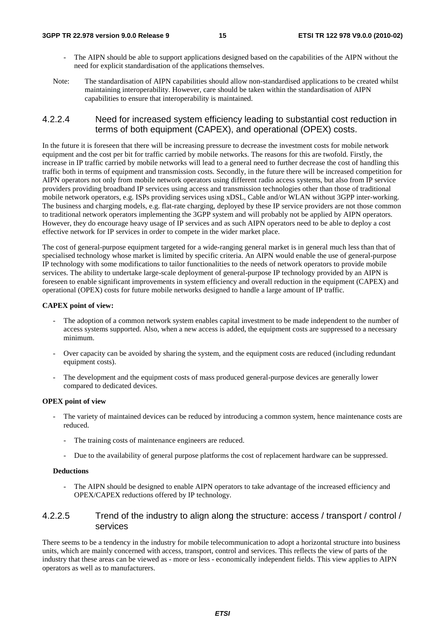- The AIPN should be able to support applications designed based on the capabilities of the AIPN without the need for explicit standardisation of the applications themselves.
- Note: The standardisation of AIPN capabilities should allow non-standardised applications to be created whilst maintaining interoperability. However, care should be taken within the standardisation of AIPN capabilities to ensure that interoperability is maintained.

#### 4.2.2.4 Need for increased system efficiency leading to substantial cost reduction in terms of both equipment (CAPEX), and operational (OPEX) costs.

In the future it is foreseen that there will be increasing pressure to decrease the investment costs for mobile network equipment and the cost per bit for traffic carried by mobile networks. The reasons for this are twofold. Firstly, the increase in IP traffic carried by mobile networks will lead to a general need to further decrease the cost of handling this traffic both in terms of equipment and transmission costs. Secondly, in the future there will be increased competition for AIPN operators not only from mobile network operators using different radio access systems, but also from IP service providers providing broadband IP services using access and transmission technologies other than those of traditional mobile network operators, e.g. ISPs providing services using xDSL, Cable and/or WLAN without 3GPP inter-working. The business and charging models, e.g. flat-rate charging, deployed by these IP service providers are not those common to traditional network operators implementing the 3GPP system and will probably not be applied by AIPN operators. However, they do encourage heavy usage of IP services and as such AIPN operators need to be able to deploy a cost effective network for IP services in order to compete in the wider market place.

The cost of general-purpose equipment targeted for a wide-ranging general market is in general much less than that of specialised technology whose market is limited by specific criteria. An AIPN would enable the use of general-purpose IP technology with some modifications to tailor functionalities to the needs of network operators to provide mobile services. The ability to undertake large-scale deployment of general-purpose IP technology provided by an AIPN is foreseen to enable significant improvements in system efficiency and overall reduction in the equipment (CAPEX) and operational (OPEX) costs for future mobile networks designed to handle a large amount of IP traffic.

#### **CAPEX point of view:**

- The adoption of a common network system enables capital investment to be made independent to the number of access systems supported. Also, when a new access is added, the equipment costs are suppressed to a necessary minimum.
- Over capacity can be avoided by sharing the system, and the equipment costs are reduced (including redundant equipment costs).
- The development and the equipment costs of mass produced general-purpose devices are generally lower compared to dedicated devices.

#### **OPEX point of view**

- The variety of maintained devices can be reduced by introducing a common system, hence maintenance costs are reduced.
	- The training costs of maintenance engineers are reduced.
	- Due to the availability of general purpose platforms the cost of replacement hardware can be suppressed.

#### **Deductions**

The AIPN should be designed to enable AIPN operators to take advantage of the increased efficiency and OPEX/CAPEX reductions offered by IP technology.

#### 4.2.2.5 Trend of the industry to align along the structure: access / transport / control / services

There seems to be a tendency in the industry for mobile telecommunication to adopt a horizontal structure into business units, which are mainly concerned with access, transport, control and services. This reflects the view of parts of the industry that these areas can be viewed as - more or less - economically independent fields. This view applies to AIPN operators as well as to manufacturers.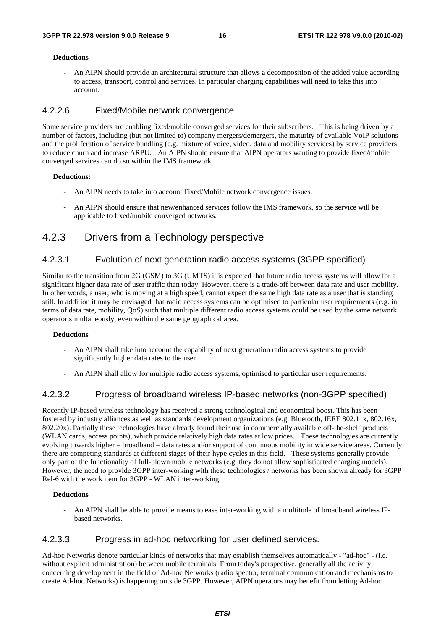#### **Deductions**

- An AIPN should provide an architectural structure that allows a decomposition of the added value according to access, transport, control and services. In particular charging capabilities will need to take this into account.

#### 4.2.2.6 Fixed/Mobile network convergence

Some service providers are enabling fixed/mobile converged services for their subscribers. This is being driven by a number of factors, including (but not limited to) company mergers/demergers, the maturity of available VoIP solutions and the proliferation of service bundling (e.g. mixture of voice, video, data and mobility services) by service providers to reduce churn and increase ARPU. An AIPN should ensure that AIPN operators wanting to provide fixed/mobile converged services can do so within the IMS framework.

#### **Deductions:**

- An AIPN needs to take into account Fixed/Mobile network convergence issues.
- An AIPN should ensure that new/enhanced services follow the IMS framework, so the service will be applicable to fixed/mobile converged networks.

### 4.2.3 Drivers from a Technology perspective

#### 4.2.3.1 Evolution of next generation radio access systems (3GPP specified)

Similar to the transition from 2G (GSM) to 3G (UMTS) it is expected that future radio access systems will allow for a significant higher data rate of user traffic than today. However, there is a trade-off between data rate and user mobility. In other words, a user, who is moving at a high speed, cannot expect the same high data rate as a user that is standing still. In addition it may be envisaged that radio access systems can be optimised to particular user requirements (e.g. in terms of data rate, mobility, QoS) such that multiple different radio access systems could be used by the same network operator simultaneously, even within the same geographical area.

#### **Deductions**

- An AIPN shall take into account the capability of next generation radio access systems to provide significantly higher data rates to the user
- An AIPN shall allow for multiple radio access systems, optimised to particular user requirements.

#### 4.2.3.2 Progress of broadband wireless IP-based networks (non-3GPP specified)

Recently IP-based wireless technology has received a strong technological and economical boost. This has been fostered by industry alliances as well as standards development organizations (e.g. Bluetooth, IEEE 802.11x, 802.16x, 802.20x). Partially these technologies have already found their use in commercially available off-the-shelf products (WLAN cards, access points), which provide relatively high data rates at low prices. These technologies are currently evolving towards higher – broadband – data rates and/or support of continuous mobility in wide service areas. Currently there are competing standards at different stages of their hype cycles in this field. These systems generally provide only part of the functionality of full-blown mobile networks (e.g. they do not allow sophisticated charging models). However, the need to provide 3GPP inter-working with these technologies / networks has been shown already for 3GPP Rel-6 with the work item for 3GPP - WLAN inter-working.

#### **Deductions**

- An AIPN shall be able to provide means to ease inter-working with a multitude of broadband wireless IPbased networks.

#### 4.2.3.3 Progress in ad-hoc networking for user defined services.

Ad-hoc Networks denote particular kinds of networks that may establish themselves automatically - "ad-hoc" - (i.e. without explicit administration) between mobile terminals. From today's perspective, generally all the activity concerning development in the field of Ad-hoc Networks (radio spectra, terminal communication and mechanisms to create Ad-hoc Networks) is happening outside 3GPP. However, AIPN operators may benefit from letting Ad-hoc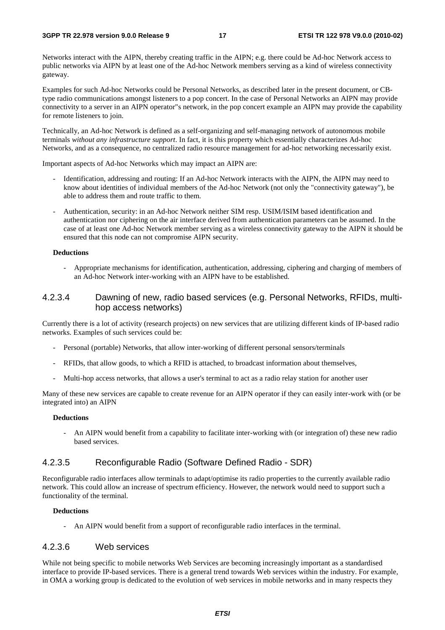Networks interact with the AIPN, thereby creating traffic in the AIPN; e.g. there could be Ad-hoc Network access to public networks via AIPN by at least one of the Ad-hoc Network members serving as a kind of wireless connectivity gateway.

Examples for such Ad-hoc Networks could be Personal Networks, as described later in the present document, or CBtype radio communications amongst listeners to a pop concert. In the case of Personal Networks an AIPN may provide connectivity to a server in an AIPN operator"s network, in the pop concert example an AIPN may provide the capability for remote listeners to join.

Technically, an Ad-hoc Network is defined as a self-organizing and self-managing network of autonomous mobile terminals *without any infrastructure support*. In fact, it is this property which essentially characterizes Ad-hoc Networks, and as a consequence, no centralized radio resource management for ad-hoc networking necessarily exist.

Important aspects of Ad-hoc Networks which may impact an AIPN are:

- Identification, addressing and routing: If an Ad-hoc Network interacts with the AIPN, the AIPN may need to know about identities of individual members of the Ad-hoc Network (not only the "connectivity gateway"), be able to address them and route traffic to them.
- Authentication, security: in an Ad-hoc Network neither SIM resp. USIM/ISIM based identification and authentication nor ciphering on the air interface derived from authentication parameters can be assumed. In the case of at least one Ad-hoc Network member serving as a wireless connectivity gateway to the AIPN it should be ensured that this node can not compromise AIPN security.

#### **Deductions**

- Appropriate mechanisms for identification, authentication, addressing, ciphering and charging of members of an Ad-hoc Network inter-working with an AIPN have to be established.

#### 4.2.3.4 Dawning of new, radio based services (e.g. Personal Networks, RFIDs, multihop access networks)

Currently there is a lot of activity (research projects) on new services that are utilizing different kinds of IP-based radio networks. Examples of such services could be:

- Personal (portable) Networks, that allow inter-working of different personal sensors/terminals
- RFIDs, that allow goods, to which a RFID is attached, to broadcast information about themselves,
- Multi-hop access networks, that allows a user's terminal to act as a radio relay station for another user

Many of these new services are capable to create revenue for an AIPN operator if they can easily inter-work with (or be integrated into) an AIPN

#### **Deductions**

- An AIPN would benefit from a capability to facilitate inter-working with (or integration of) these new radio based services.

#### 4.2.3.5 Reconfigurable Radio (Software Defined Radio - SDR)

Reconfigurable radio interfaces allow terminals to adapt/optimise its radio properties to the currently available radio network. This could allow an increase of spectrum efficiency. However, the network would need to support such a functionality of the terminal.

#### **Deductions**

- An AIPN would benefit from a support of reconfigurable radio interfaces in the terminal.

#### 4.2.3.6 Web services

While not being specific to mobile networks Web Services are becoming increasingly important as a standardised interface to provide IP-based services. There is a general trend towards Web services within the industry. For example, in OMA a working group is dedicated to the evolution of web services in mobile networks and in many respects they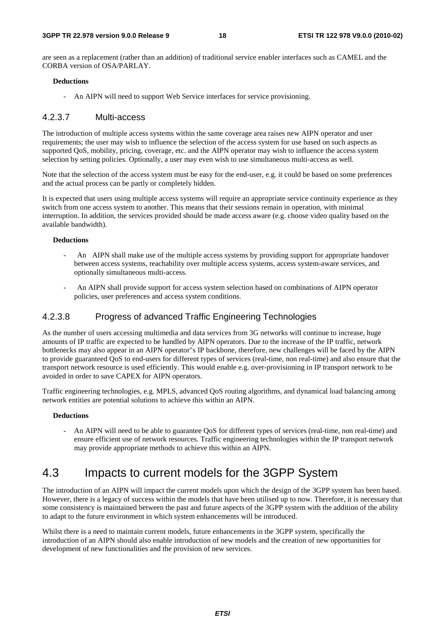are seen as a replacement (rather than an addition) of traditional service enabler interfaces such as CAMEL and the CORBA version of OSA/PARLAY.

#### **Deductions**

- An AIPN will need to support Web Service interfaces for service provisioning.

#### 4.2.3.7 Multi-access

The introduction of multiple access systems within the same coverage area raises new AIPN operator and user requirements; the user may wish to influence the selection of the access system for use based on such aspects as supported QoS, mobility, pricing, coverage, etc. and the AIPN operator may wish to influence the access system selection by setting policies. Optionally, a user may even wish to use simultaneous multi-access as well.

Note that the selection of the access system must be easy for the end-user, e.g. it could be based on some preferences and the actual process can be partly or completely hidden.

It is expected that users using multiple access systems will require an appropriate service continuity experience as they switch from one access system to another. This means that their sessions remain in operation, with minimal interruption. In addition, the services provided should be made access aware (e.g. choose video quality based on the available bandwidth).

#### **Deductions**

- An AIPN shall make use of the multiple access systems by providing support for appropriate handover between access systems, reachability over multiple access systems, access system-aware services, and optionally simultaneous multi-access.
- An AIPN shall provide support for access system selection based on combinations of AIPN operator policies, user preferences and access system conditions.

#### 4.2.3.8 Progress of advanced Traffic Engineering Technologies

As the number of users accessing multimedia and data services from 3G networks will continue to increase, huge amounts of IP traffic are expected to be handled by AIPN operators. Due to the increase of the IP traffic, network bottlenecks may also appear in an AIPN operator"s IP backbone, therefore, new challenges will be faced by the AIPN to provide guaranteed QoS to end-users for different types of services (real-time, non real-time) and also ensure that the transport network resource is used efficiently. This would enable e.g. over-provisioning in IP transport network to be avoided in order to save CAPEX for AIPN operators.

Traffic engineering technologies, e.g. MPLS, advanced QoS routing algorithms, and dynamical load balancing among network entities are potential solutions to achieve this within an AIPN.

#### **Deductions**

- An AIPN will need to be able to guarantee QoS for different types of services (real-time, non real-time) and ensure efficient use of network resources. Traffic engineering technologies within the IP transport network may provide appropriate methods to achieve this within an AIPN.

## 4.3 Impacts to current models for the 3GPP System

The introduction of an AIPN will impact the current models upon which the design of the 3GPP system has been based. However, there is a legacy of success within the models that have been utilised up to now. Therefore, it is necessary that some consistency is maintained between the past and future aspects of the 3GPP system with the addition of the ability to adapt to the future environment in which system enhancements will be introduced.

Whilst there is a need to maintain current models, future enhancements in the 3GPP system, specifically the introduction of an AIPN should also enable introduction of new models and the creation of new opportunities for development of new functionalities and the provision of new services.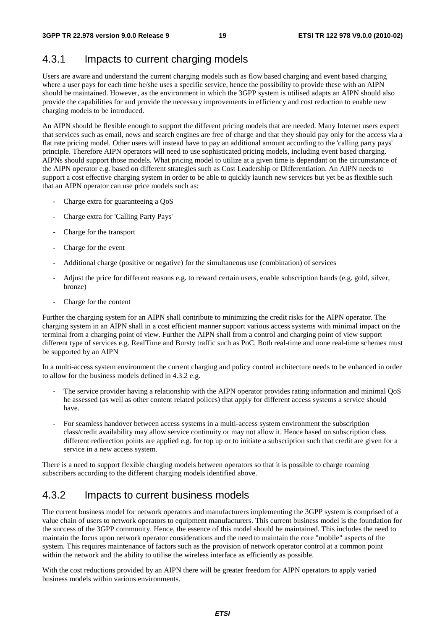### 4.3.1 Impacts to current charging models

Users are aware and understand the current charging models such as flow based charging and event based charging where a user pays for each time he/she uses a specific service, hence the possibility to provide these with an AIPN should be maintained. However, as the environment in which the 3GPP system is utilised adapts an AIPN should also provide the capabilities for and provide the necessary improvements in efficiency and cost reduction to enable new charging models to be introduced.

An AIPN should be flexible enough to support the different pricing models that are needed. Many Internet users expect that services such as email, news and search engines are free of charge and that they should pay only for the access via a flat rate pricing model. Other users will instead have to pay an additional amount according to the 'calling party pays' principle. Therefore AIPN operators will need to use sophisticated pricing models, including event based charging. AIPNs should support those models. What pricing model to utilize at a given time is dependant on the circumstance of the AIPN operator e.g. based on different strategies such as Cost Leadership or Differentiation. An AIPN needs to support a cost effective charging system in order to be able to quickly launch new services but yet be as flexible such that an AIPN operator can use price models such as:

- Charge extra for guaranteeing a OoS
- Charge extra for 'Calling Party Pays'
- Charge for the transport
- Charge for the event
- Additional charge (positive or negative) for the simultaneous use (combination) of services
- Adjust the price for different reasons e.g. to reward certain users, enable subscription bands (e.g. gold, silver, bronze)
- Charge for the content

Further the charging system for an AIPN shall contribute to minimizing the credit risks for the AIPN operator. The charging system in an AIPN shall in a cost efficient manner support various access systems with minimal impact on the terminal from a charging point of view. Further the AIPN shall from a control and charging point of view support different type of services e.g. RealTime and Bursty traffic such as PoC. Both real-time and none real-time schemes must be supported by an AIPN

In a multi-access system environment the current charging and policy control architecture needs to be enhanced in order to allow for the business models defined in 4.3.2 e.g.

- The service provider having a relationship with the AIPN operator provides rating information and minimal QoS he assessed (as well as other content related polices) that apply for different access systems a service should have.
- For seamless handover between access systems in a multi-access system environment the subscription class/credit availability may allow service continuity or may not allow it. Hence based on subscription class different redirection points are applied e.g. for top up or to initiate a subscription such that credit are given for a service in a new access system.

There is a need to support flexible charging models between operators so that it is possible to charge roaming subscribers according to the different charging models identified above.

## 4.3.2 Impacts to current business models

The current business model for network operators and manufacturers implementing the 3GPP system is comprised of a value chain of users to network operators to equipment manufacturers. This current business model is the foundation for the success of the 3GPP community. Hence, the essence of this model should be maintained. This includes the need to maintain the focus upon network operator considerations and the need to maintain the core "mobile" aspects of the system. This requires maintenance of factors such as the provision of network operator control at a common point within the network and the ability to utilise the wireless interface as efficiently as possible.

With the cost reductions provided by an AIPN there will be greater freedom for AIPN operators to apply varied business models within various environments.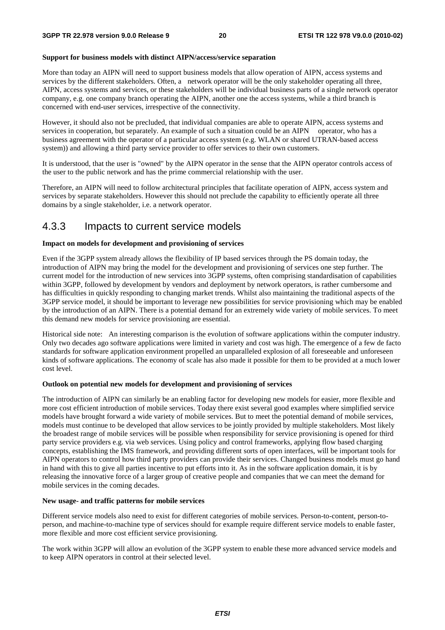#### **Support for business models with distinct AIPN/access/service separation**

More than today an AIPN will need to support business models that allow operation of AIPN, access systems and services by the different stakeholders. Often, a network operator will be the only stakeholder operating all three, AIPN, access systems and services, or these stakeholders will be individual business parts of a single network operator company, e.g. one company branch operating the AIPN, another one the access systems, while a third branch is concerned with end-user services, irrespective of the connectivity.

However, it should also not be precluded, that individual companies are able to operate AIPN, access systems and services in cooperation, but separately. An example of such a situation could be an AIPN operator, who has a business agreement with the operator of a particular access system (e.g. WLAN or shared UTRAN-based access system)) and allowing a third party service provider to offer services to their own customers.

It is understood, that the user is "owned" by the AIPN operator in the sense that the AIPN operator controls access of the user to the public network and has the prime commercial relationship with the user.

Therefore, an AIPN will need to follow architectural principles that facilitate operation of AIPN, access system and services by separate stakeholders. However this should not preclude the capability to efficiently operate all three domains by a single stakeholder, i.e. a network operator.

### 4.3.3 Impacts to current service models

#### **Impact on models for development and provisioning of services**

Even if the 3GPP system already allows the flexibility of IP based services through the PS domain today, the introduction of AIPN may bring the model for the development and provisioning of services one step further. The current model for the introduction of new services into 3GPP systems, often comprising standardisation of capabilities within 3GPP, followed by development by vendors and deployment by network operators, is rather cumbersome and has difficulties in quickly responding to changing market trends. Whilst also maintaining the traditional aspects of the 3GPP service model, it should be important to leverage new possibilities for service provisioning which may be enabled by the introduction of an AIPN. There is a potential demand for an extremely wide variety of mobile services. To meet this demand new models for service provisioning are essential.

Historical side note: An interesting comparison is the evolution of software applications within the computer industry. Only two decades ago software applications were limited in variety and cost was high. The emergence of a few de facto standards for software application environment propelled an unparalleled explosion of all foreseeable and unforeseen kinds of software applications. The economy of scale has also made it possible for them to be provided at a much lower cost level.

#### **Outlook on potential new models for development and provisioning of services**

The introduction of AIPN can similarly be an enabling factor for developing new models for easier, more flexible and more cost efficient introduction of mobile services. Today there exist several good examples where simplified service models have brought forward a wide variety of mobile services. But to meet the potential demand of mobile services, models must continue to be developed that allow services to be jointly provided by multiple stakeholders. Most likely the broadest range of mobile services will be possible when responsibility for service provisioning is opened for third party service providers e.g. via web services. Using policy and control frameworks, applying flow based charging concepts, establishing the IMS framework, and providing different sorts of open interfaces, will be important tools for AIPN operators to control how third party providers can provide their services. Changed business models must go hand in hand with this to give all parties incentive to put efforts into it. As in the software application domain, it is by releasing the innovative force of a larger group of creative people and companies that we can meet the demand for mobile services in the coming decades.

#### **New usage- and traffic patterns for mobile services**

Different service models also need to exist for different categories of mobile services. Person-to-content, person-toperson, and machine-to-machine type of services should for example require different service models to enable faster, more flexible and more cost efficient service provisioning.

The work within 3GPP will allow an evolution of the 3GPP system to enable these more advanced service models and to keep AIPN operators in control at their selected level.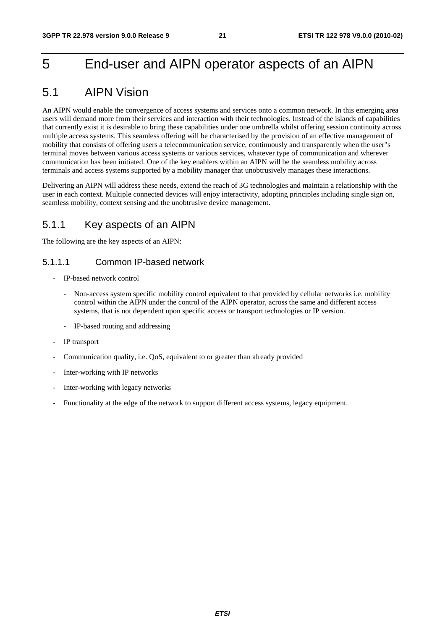## 5 End-user and AIPN operator aspects of an AIPN

## 5.1 AIPN Vision

An AIPN would enable the convergence of access systems and services onto a common network. In this emerging area users will demand more from their services and interaction with their technologies. Instead of the islands of capabilities that currently exist it is desirable to bring these capabilities under one umbrella whilst offering session continuity across multiple access systems. This seamless offering will be characterised by the provision of an effective management of mobility that consists of offering users a telecommunication service, continuously and transparently when the user"s terminal moves between various access systems or various services, whatever type of communication and wherever communication has been initiated. One of the key enablers within an AIPN will be the seamless mobility across terminals and access systems supported by a mobility manager that unobtrusively manages these interactions.

Delivering an AIPN will address these needs, extend the reach of 3G technologies and maintain a relationship with the user in each context. Multiple connected devices will enjoy interactivity, adopting principles including single sign on, seamless mobility, context sensing and the unobtrusive device management.

### 5.1.1 Key aspects of an AIPN

The following are the key aspects of an AIPN:

#### 5.1.1.1 Common IP-based network

- IP-based network control
	- Non-access system specific mobility control equivalent to that provided by cellular networks i.e. mobility control within the AIPN under the control of the AIPN operator, across the same and different access systems, that is not dependent upon specific access or transport technologies or IP version.
	- IP-based routing and addressing
- IP transport
- Communication quality, i.e. QoS, equivalent to or greater than already provided
- Inter-working with IP networks
- Inter-working with legacy networks
- Functionality at the edge of the network to support different access systems, legacy equipment.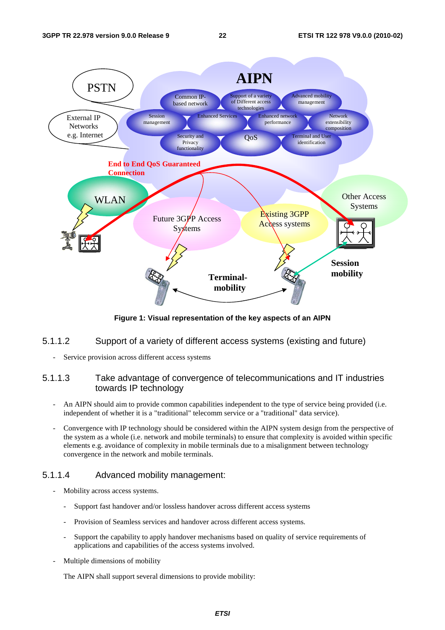

**Figure 1: Visual representation of the key aspects of an AIPN** 

#### 5.1.1.2 Support of a variety of different access systems (existing and future)

Service provision across different access systems

#### 5.1.1.3 Take advantage of convergence of telecommunications and IT industries towards IP technology

- An AIPN should aim to provide common capabilities independent to the type of service being provided (i.e. independent of whether it is a "traditional" telecomm service or a "traditional" data service).
- Convergence with IP technology should be considered within the AIPN system design from the perspective of the system as a whole (i.e. network and mobile terminals) to ensure that complexity is avoided within specific elements e.g. avoidance of complexity in mobile terminals due to a misalignment between technology convergence in the network and mobile terminals.

#### 5.1.1.4 Advanced mobility management:

- Mobility across access systems.
	- Support fast handover and/or lossless handover across different access systems
	- Provision of Seamless services and handover across different access systems.
	- Support the capability to apply handover mechanisms based on quality of service requirements of applications and capabilities of the access systems involved.
- Multiple dimensions of mobility

The AIPN shall support several dimensions to provide mobility: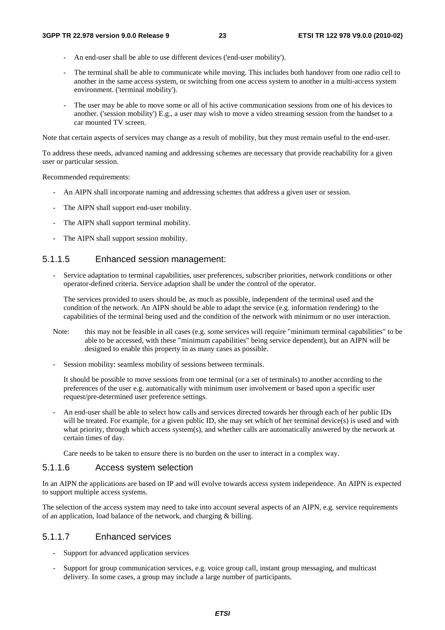- An end-user shall be able to use different devices ('end-user mobility').
- The terminal shall be able to communicate while moving. This includes both handover from one radio cell to another in the same access system, or switching from one access system to another in a multi-access system environment. ('terminal mobility').
- The user may be able to move some or all of his active communication sessions from one of his devices to another. ('session mobility') E.g., a user may wish to move a video streaming session from the handset to a car mounted TV screen.

Note that certain aspects of services may change as a result of mobility, but they must remain useful to the end-user.

To address these needs, advanced naming and addressing schemes are necessary that provide reachability for a given user or particular session.

Recommended requirements:

- An AIPN shall incorporate naming and addressing schemes that address a given user or session.
- The AIPN shall support end-user mobility.
- The AIPN shall support terminal mobility.
- The AIPN shall support session mobility.

#### 5.1.1.5 Enhanced session management:

- Service adaptation to terminal capabilities, user preferences, subscriber priorities, network conditions or other operator-defined criteria. Service adaption shall be under the control of the operator.

The services provided to users should be, as much as possible, independent of the terminal used and the condition of the network. An AIPN should be able to adapt the service (e.g. information rendering) to the capabilities of the terminal being used and the condition of the network with minimum or no user interaction.

- Note: this may not be feasible in all cases (e.g. some services will require "minimum terminal capabilities" to be able to be accessed, with these "minimum capabilities" being service dependent), but an AIPN will be designed to enable this property in as many cases as possible.
- Session mobility: seamless mobility of sessions between terminals.

It should be possible to move sessions from one terminal (or a set of terminals) to another according to the preferences of the user e.g. automatically with minimum user involvement or based upon a specific user request/pre-determined user preference settings.

- An end-user shall be able to select how calls and services directed towards her through each of her public IDs will be treated. For example, for a given public ID, she may set which of her terminal device(s) is used and with what priority, through which access system(s), and whether calls are automatically answered by the network at certain times of day.

Care needs to be taken to ensure there is no burden on the user to interact in a complex way.

#### 5.1.1.6 Access system selection

In an AIPN the applications are based on IP and will evolve towards access system independence. An AIPN is expected to support multiple access systems.

The selection of the access system may need to take into account several aspects of an AIPN, e.g. service requirements of an application, load balance of the network, and charging & billing.

#### 5.1.1.7 Enhanced services

- Support for advanced application services
- Support for group communication services, e.g. voice group call, instant group messaging, and multicast delivery. In some cases, a group may include a large number of participants.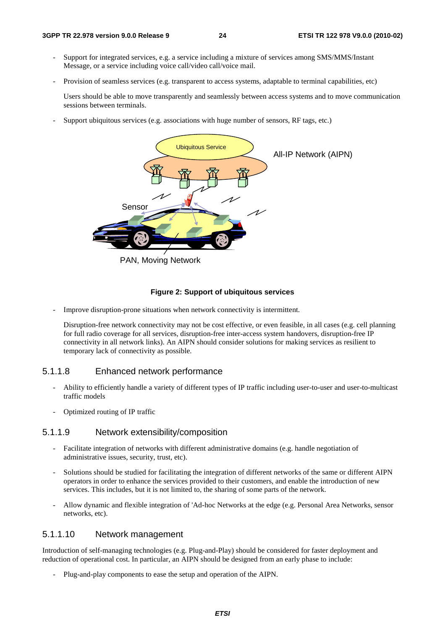- Support for integrated services, e.g. a service including a mixture of services among SMS/MMS/Instant Message, or a service including voice call/video call/voice mail.
- Provision of seamless services (e.g. transparent to access systems, adaptable to terminal capabilities, etc)

 Users should be able to move transparently and seamlessly between access systems and to move communication sessions between terminals.

Support ubiquitous services (e.g. associations with huge number of sensors, RF tags, etc.)



PAN, Moving Network

#### **Figure 2: Support of ubiquitous services**

Improve disruption-prone situations when network connectivity is intermittent.

Disruption-free network connectivity may not be cost effective, or even feasible, in all cases (e.g. cell planning for full radio coverage for all services, disruption-free inter-access system handovers, disruption-free IP connectivity in all network links). An AIPN should consider solutions for making services as resilient to temporary lack of connectivity as possible.

#### 5.1.1.8 Enhanced network performance

- Ability to efficiently handle a variety of different types of IP traffic including user-to-user and user-to-multicast traffic models
- Optimized routing of IP traffic

#### 5.1.1.9 Network extensibility/composition

- Facilitate integration of networks with different administrative domains (e.g. handle negotiation of administrative issues, security, trust, etc).
- Solutions should be studied for facilitating the integration of different networks of the same or different AIPN operators in order to enhance the services provided to their customers, and enable the introduction of new services. This includes, but it is not limited to, the sharing of some parts of the network.
- Allow dynamic and flexible integration of 'Ad-hoc Networks at the edge (e.g. Personal Area Networks, sensor networks, etc).

#### 5.1.1.10 Network management

Introduction of self-managing technologies (e.g. Plug-and-Play) should be considered for faster deployment and reduction of operational cost. In particular, an AIPN should be designed from an early phase to include:

- Plug-and-play components to ease the setup and operation of the AIPN.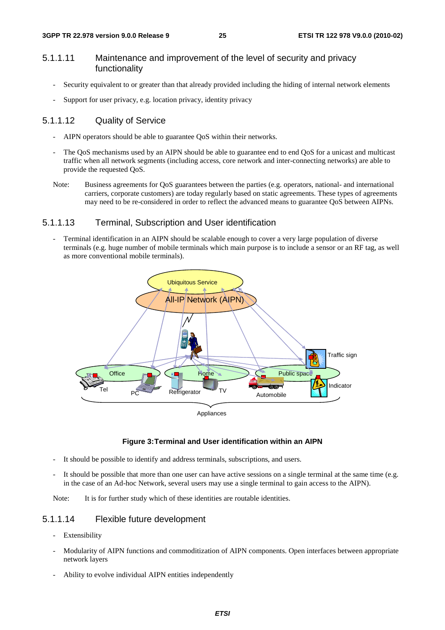#### 5.1.1.11 Maintenance and improvement of the level of security and privacy functionality

- Security equivalent to or greater than that already provided including the hiding of internal network elements
- Support for user privacy, e.g. location privacy, identity privacy

#### 5.1.1.12 Quality of Service

- AIPN operators should be able to guarantee OoS within their networks.
- The QoS mechanisms used by an AIPN should be able to guarantee end to end QoS for a unicast and multicast traffic when all network segments (including access, core network and inter-connecting networks) are able to provide the requested QoS.
- Note: Business agreements for QoS guarantees between the parties (e.g. operators, national- and international carriers, corporate customers) are today regularly based on static agreements. These types of agreements may need to be re-considered in order to reflect the advanced means to guarantee QoS between AIPNs.

#### 5.1.1.13 Terminal, Subscription and User identification

Terminal identification in an AIPN should be scalable enough to cover a very large population of diverse terminals (e.g. huge number of mobile terminals which main purpose is to include a sensor or an RF tag, as well as more conventional mobile terminals).



Appliances

#### **Figure 3: Terminal and User identification within an AIPN**

- It should be possible to identify and address terminals, subscriptions, and users.
- It should be possible that more than one user can have active sessions on a single terminal at the same time (e.g. in the case of an Ad-hoc Network, several users may use a single terminal to gain access to the AIPN).

Note: It is for further study which of these identities are routable identities.

#### 5.1.1.14 Flexible future development

- Extensibility
- Modularity of AIPN functions and commoditization of AIPN components. Open interfaces between appropriate network layers
- Ability to evolve individual AIPN entities independently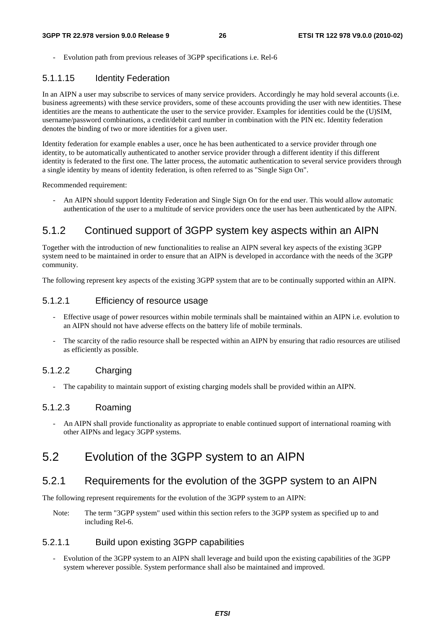Evolution path from previous releases of 3GPP specifications *i.e.* Rel-6

#### 5.1.1.15 Identity Federation

In an AIPN a user may subscribe to services of many service providers. Accordingly he may hold several accounts (i.e. business agreements) with these service providers, some of these accounts providing the user with new identities. These identities are the means to authenticate the user to the service provider. Examples for identities could be the (U)SIM, username/password combinations, a credit/debit card number in combination with the PIN etc. Identity federation denotes the binding of two or more identities for a given user.

Identity federation for example enables a user, once he has been authenticated to a service provider through one identity, to be automatically authenticated to another service provider through a different identity if this different identity is federated to the first one. The latter process, the automatic authentication to several service providers through a single identity by means of identity federation, is often referred to as "Single Sign On".

Recommended requirement:

- An AIPN should support Identity Federation and Single Sign On for the end user. This would allow automatic authentication of the user to a multitude of service providers once the user has been authenticated by the AIPN.

### 5.1.2 Continued support of 3GPP system key aspects within an AIPN

Together with the introduction of new functionalities to realise an AIPN several key aspects of the existing 3GPP system need to be maintained in order to ensure that an AIPN is developed in accordance with the needs of the 3GPP community.

The following represent key aspects of the existing 3GPP system that are to be continually supported within an AIPN.

#### 5.1.2.1 Efficiency of resource usage

- Effective usage of power resources within mobile terminals shall be maintained within an AIPN i.e. evolution to an AIPN should not have adverse effects on the battery life of mobile terminals.
- The scarcity of the radio resource shall be respected within an AIPN by ensuring that radio resources are utilised as efficiently as possible.

#### 5.1.2.2 Charging

The capability to maintain support of existing charging models shall be provided within an AIPN.

#### 5.1.2.3 Roaming

- An AIPN shall provide functionality as appropriate to enable continued support of international roaming with other AIPNs and legacy 3GPP systems.

## 5.2 Evolution of the 3GPP system to an AIPN

### 5.2.1 Requirements for the evolution of the 3GPP system to an AIPN

The following represent requirements for the evolution of the 3GPP system to an AIPN:

Note: The term "3GPP system" used within this section refers to the 3GPP system as specified up to and including Rel-6.

#### 5.2.1.1 Build upon existing 3GPP capabilities

- Evolution of the 3GPP system to an AIPN shall leverage and build upon the existing capabilities of the 3GPP system wherever possible. System performance shall also be maintained and improved.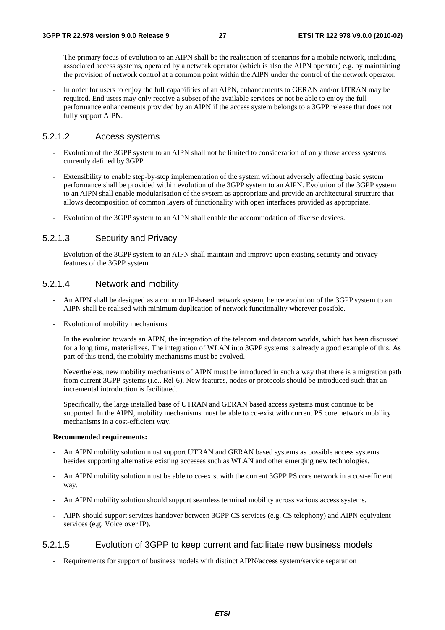- The primary focus of evolution to an AIPN shall be the realisation of scenarios for a mobile network, including associated access systems, operated by a network operator (which is also the AIPN operator) e.g. by maintaining the provision of network control at a common point within the AIPN under the control of the network operator.
- In order for users to enjoy the full capabilities of an AIPN, enhancements to GERAN and/or UTRAN may be required. End users may only receive a subset of the available services or not be able to enjoy the full performance enhancements provided by an AIPN if the access system belongs to a 3GPP release that does not fully support AIPN.

#### 5.2.1.2 Access systems

- Evolution of the 3GPP system to an AIPN shall not be limited to consideration of only those access systems currently defined by 3GPP.
- Extensibility to enable step-by-step implementation of the system without adversely affecting basic system performance shall be provided within evolution of the 3GPP system to an AIPN. Evolution of the 3GPP system to an AIPN shall enable modularisation of the system as appropriate and provide an architectural structure that allows decomposition of common layers of functionality with open interfaces provided as appropriate.
- Evolution of the 3GPP system to an AIPN shall enable the accommodation of diverse devices.

#### 5.2.1.3 Security and Privacy

- Evolution of the 3GPP system to an AIPN shall maintain and improve upon existing security and privacy features of the 3GPP system.

#### 5.2.1.4 Network and mobility

- An AIPN shall be designed as a common IP-based network system, hence evolution of the 3GPP system to an AIPN shall be realised with minimum duplication of network functionality wherever possible.
- Evolution of mobility mechanisms

 In the evolution towards an AIPN, the integration of the telecom and datacom worlds, which has been discussed for a long time, materializes. The integration of WLAN into 3GPP systems is already a good example of this. As part of this trend, the mobility mechanisms must be evolved.

 Nevertheless, new mobility mechanisms of AIPN must be introduced in such a way that there is a migration path from current 3GPP systems (i.e., Rel-6). New features, nodes or protocols should be introduced such that an incremental introduction is facilitated.

 Specifically, the large installed base of UTRAN and GERAN based access systems must continue to be supported. In the AIPN, mobility mechanisms must be able to co-exist with current PS core network mobility mechanisms in a cost-efficient way.

#### **Recommended requirements:**

- An AIPN mobility solution must support UTRAN and GERAN based systems as possible access systems besides supporting alternative existing accesses such as WLAN and other emerging new technologies.
- An AIPN mobility solution must be able to co-exist with the current 3GPP PS core network in a cost-efficient way.
- An AIPN mobility solution should support seamless terminal mobility across various access systems.
- AIPN should support services handover between 3GPP CS services (e.g. CS telephony) and AIPN equivalent services (e.g. Voice over IP).

#### 5.2.1.5 Evolution of 3GPP to keep current and facilitate new business models

Requirements for support of business models with distinct AIPN/access system/service separation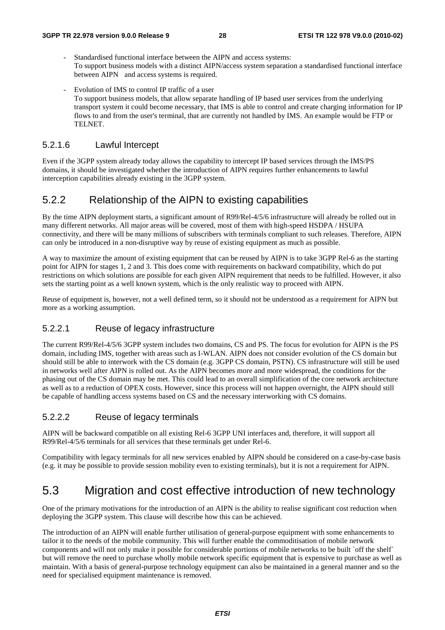- Standardised functional interface between the AIPN and access systems: To support business models with a distinct AIPN/access system separation a standardised functional interface between AIPN and access systems is required.
- Evolution of IMS to control IP traffic of a user To support business models, that allow separate handling of IP based user services from the underlying transport system it could become necessary, that IMS is able to control and create charging information for IP flows to and from the user's terminal, that are currently not handled by IMS. An example would be FTP or TELNET.

#### 5.2.1.6 Lawful Intercept

Even if the 3GPP system already today allows the capability to intercept IP based services through the IMS/PS domains, it should be investigated whether the introduction of AIPN requires further enhancements to lawful interception capabilities already existing in the 3GPP system.

### 5.2.2 Relationship of the AIPN to existing capabilities

By the time AIPN deployment starts, a significant amount of R99/Rel-4/5/6 infrastructure will already be rolled out in many different networks. All major areas will be covered, most of them with high-speed HSDPA / HSUPA connectivity, and there will be many millions of subscribers with terminals compliant to such releases. Therefore, AIPN can only be introduced in a non-disruptive way by reuse of existing equipment as much as possible.

A way to maximize the amount of existing equipment that can be reused by AIPN is to take 3GPP Rel-6 as the starting point for AIPN for stages 1, 2 and 3. This does come with requirements on backward compatibility, which do put restrictions on which solutions are possible for each given AIPN requirement that needs to be fulfilled. However, it also sets the starting point as a well known system, which is the only realistic way to proceed with AIPN.

Reuse of equipment is, however, not a well defined term, so it should not be understood as a requirement for AIPN but more as a working assumption.

#### 5.2.2.1 Reuse of legacy infrastructure

The current R99/Rel-4/5/6 3GPP system includes two domains, CS and PS. The focus for evolution for AIPN is the PS domain, including IMS, together with areas such as I-WLAN. AIPN does not consider evolution of the CS domain but should still be able to interwork with the CS domain (e.g. 3GPP CS domain, PSTN). CS infrastructure will still be used in networks well after AIPN is rolled out. As the AIPN becomes more and more widespread, the conditions for the phasing out of the CS domain may be met. This could lead to an overall simplification of the core network architecture as well as to a reduction of OPEX costs. However, since this process will not happen overnight, the AIPN should still be capable of handling access systems based on CS and the necessary interworking with CS domains.

#### 5.2.2.2 Reuse of legacy terminals

AIPN will be backward compatible on all existing Rel-6 3GPP UNI interfaces and, therefore, it will support all R99/Rel-4/5/6 terminals for all services that these terminals get under Rel-6.

Compatibility with legacy terminals for all new services enabled by AIPN should be considered on a case-by-case basis (e.g. it may be possible to provide session mobility even to existing terminals), but it is not a requirement for AIPN.

## 5.3 Migration and cost effective introduction of new technology

One of the primary motivations for the introduction of an AIPN is the ability to realise significant cost reduction when deploying the 3GPP system. This clause will describe how this can be achieved.

The introduction of an AIPN will enable further utilisation of general-purpose equipment with some enhancements to tailor it to the needs of the mobile community. This will further enable the commoditisation of mobile network components and will not only make it possible for considerable portions of mobile networks to be built `off the shelf` but will remove the need to purchase wholly mobile network specific equipment that is expensive to purchase as well as maintain. With a basis of general-purpose technology equipment can also be maintained in a general manner and so the need for specialised equipment maintenance is removed.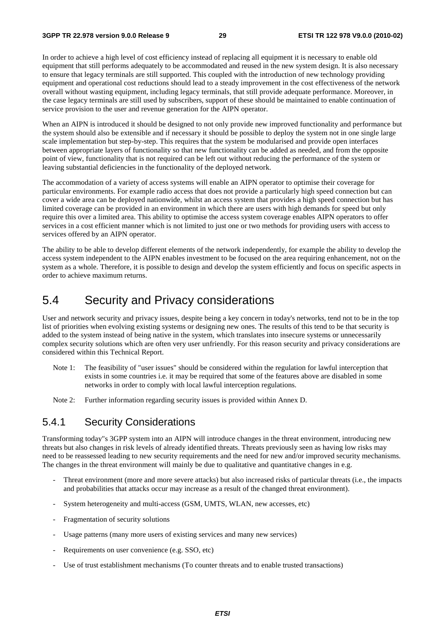In order to achieve a high level of cost efficiency instead of replacing all equipment it is necessary to enable old equipment that still performs adequately to be accommodated and reused in the new system design. It is also necessary to ensure that legacy terminals are still supported. This coupled with the introduction of new technology providing equipment and operational cost reductions should lead to a steady improvement in the cost effectiveness of the network overall without wasting equipment, including legacy terminals, that still provide adequate performance. Moreover, in the case legacy terminals are still used by subscribers, support of these should be maintained to enable continuation of service provision to the user and revenue generation for the AIPN operator.

When an AIPN is introduced it should be designed to not only provide new improved functionality and performance but the system should also be extensible and if necessary it should be possible to deploy the system not in one single large scale implementation but step-by-step. This requires that the system be modularised and provide open interfaces between appropriate layers of functionality so that new functionality can be added as needed, and from the opposite point of view, functionality that is not required can be left out without reducing the performance of the system or leaving substantial deficiencies in the functionality of the deployed network.

The accommodation of a variety of access systems will enable an AIPN operator to optimise their coverage for particular environments. For example radio access that does not provide a particularly high speed connection but can cover a wide area can be deployed nationwide, whilst an access system that provides a high speed connection but has limited coverage can be provided in an environment in which there are users with high demands for speed but only require this over a limited area. This ability to optimise the access system coverage enables AIPN operators to offer services in a cost efficient manner which is not limited to just one or two methods for providing users with access to services offered by an AIPN operator.

The ability to be able to develop different elements of the network independently, for example the ability to develop the access system independent to the AIPN enables investment to be focused on the area requiring enhancement, not on the system as a whole. Therefore, it is possible to design and develop the system efficiently and focus on specific aspects in order to achieve maximum returns.

## 5.4 Security and Privacy considerations

User and network security and privacy issues, despite being a key concern in today's networks, tend not to be in the top list of priorities when evolving existing systems or designing new ones. The results of this tend to be that security is added to the system instead of being native in the system, which translates into insecure systems or unnecessarily complex security solutions which are often very user unfriendly. For this reason security and privacy considerations are considered within this Technical Report.

- Note 1: The feasibility of "user issues" should be considered within the regulation for lawful interception that exists in some countries i.e. it may be required that some of the features above are disabled in some networks in order to comply with local lawful interception regulations.
- Note 2: Further information regarding security issues is provided within Annex D.

### 5.4.1 Security Considerations

Transforming today"s 3GPP system into an AIPN will introduce changes in the threat environment, introducing new threats but also changes in risk levels of already identified threats. Threats previously seen as having low risks may need to be reassessed leading to new security requirements and the need for new and/or improved security mechanisms. The changes in the threat environment will mainly be due to qualitative and quantitative changes in e.g.

- Threat environment (more and more severe attacks) but also increased risks of particular threats (i.e., the impacts and probabilities that attacks occur may increase as a result of the changed threat environment).
- System heterogeneity and multi-access (GSM, UMTS, WLAN, new accesses, etc)
- Fragmentation of security solutions
- Usage patterns (many more users of existing services and many new services)
- Requirements on user convenience (e.g. SSO, etc)
- Use of trust establishment mechanisms (To counter threats and to enable trusted transactions)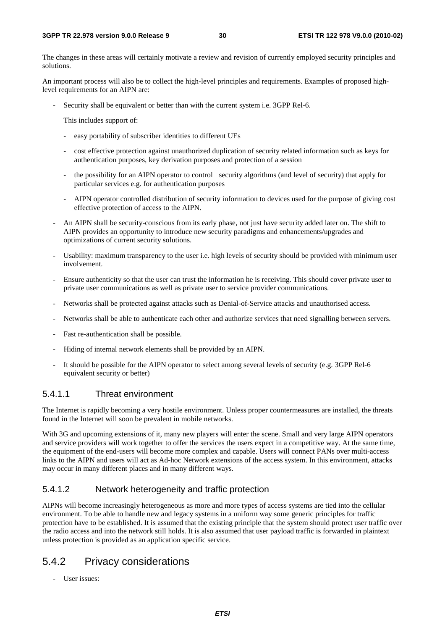The changes in these areas will certainly motivate a review and revision of currently employed security principles and solutions.

An important process will also be to collect the high-level principles and requirements. Examples of proposed highlevel requirements for an AIPN are:

Security shall be equivalent or better than with the current system i.e. 3GPP Rel-6.

This includes support of:

- easy portability of subscriber identities to different UEs
- cost effective protection against unauthorized duplication of security related information such as keys for authentication purposes, key derivation purposes and protection of a session
- the possibility for an AIPN operator to control security algorithms (and level of security) that apply for particular services e.g. for authentication purposes
- AIPN operator controlled distribution of security information to devices used for the purpose of giving cost effective protection of access to the AIPN.
- An AIPN shall be security-conscious from its early phase, not just have security added later on. The shift to AIPN provides an opportunity to introduce new security paradigms and enhancements/upgrades and optimizations of current security solutions.
- Usability: maximum transparency to the user i.e. high levels of security should be provided with minimum user involvement.
- Ensure authenticity so that the user can trust the information he is receiving. This should cover private user to private user communications as well as private user to service provider communications.
- Networks shall be protected against attacks such as Denial-of-Service attacks and unauthorised access.
- Networks shall be able to authenticate each other and authorize services that need signalling between servers.
- Fast re-authentication shall be possible.
- Hiding of internal network elements shall be provided by an AIPN.
- It should be possible for the AIPN operator to select among several levels of security (e.g. 3GPP Rel-6 equivalent security or better)

#### 5.4.1.1 Threat environment

The Internet is rapidly becoming a very hostile environment. Unless proper countermeasures are installed, the threats found in the Internet will soon be prevalent in mobile networks.

With 3G and upcoming extensions of it, many new players will enter the scene. Small and very large AIPN operators and service providers will work together to offer the services the users expect in a competitive way. At the same time, the equipment of the end-users will become more complex and capable. Users will connect PANs over multi-access links to the AIPN and users will act as Ad-hoc Network extensions of the access system. In this environment, attacks may occur in many different places and in many different ways.

#### 5.4.1.2 Network heterogeneity and traffic protection

AIPNs will become increasingly heterogeneous as more and more types of access systems are tied into the cellular environment. To be able to handle new and legacy systems in a uniform way some generic principles for traffic protection have to be established. It is assumed that the existing principle that the system should protect user traffic over the radio access and into the network still holds. It is also assumed that user payload traffic is forwarded in plaintext unless protection is provided as an application specific service.

### 5.4.2 Privacy considerations

- User issues: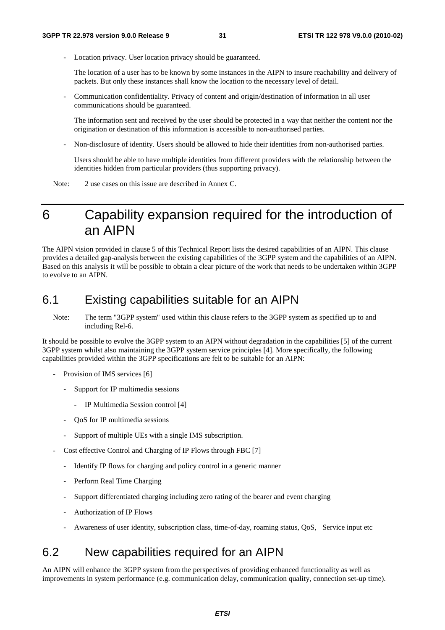Location privacy. User location privacy should be guaranteed.

 The location of a user has to be known by some instances in the AIPN to insure reachability and delivery of packets. But only these instances shall know the location to the necessary level of detail.

- Communication confidentiality. Privacy of content and origin/destination of information in all user communications should be guaranteed.

 The information sent and received by the user should be protected in a way that neither the content nor the origination or destination of this information is accessible to non-authorised parties.

- Non-disclosure of identity. Users should be allowed to hide their identities from non-authorised parties.

 Users should be able to have multiple identities from different providers with the relationship between the identities hidden from particular providers (thus supporting privacy).

Note: 2 use cases on this issue are described in Annex C.

## 6 Capability expansion required for the introduction of an AIPN

The AIPN vision provided in clause 5 of this Technical Report lists the desired capabilities of an AIPN. This clause provides a detailed gap-analysis between the existing capabilities of the 3GPP system and the capabilities of an AIPN. Based on this analysis it will be possible to obtain a clear picture of the work that needs to be undertaken within 3GPP to evolve to an AIPN.

## 6.1 Existing capabilities suitable for an AIPN

Note: The term "3GPP system" used within this clause refers to the 3GPP system as specified up to and including Rel-6.

It should be possible to evolve the 3GPP system to an AIPN without degradation in the capabilities [5] of the current 3GPP system whilst also maintaining the 3GPP system service principles [4]. More specifically, the following capabilities provided within the 3GPP specifications are felt to be suitable for an AIPN:

- Provision of IMS services [6]
	- Support for IP multimedia sessions
		- IP Multimedia Session control [4]
	- QoS for IP multimedia sessions
	- Support of multiple UEs with a single IMS subscription.
- Cost effective Control and Charging of IP Flows through FBC [7]
	- Identify IP flows for charging and policy control in a generic manner
	- Perform Real Time Charging
	- Support differentiated charging including zero rating of the bearer and event charging
	- Authorization of IP Flows
	- Awareness of user identity, subscription class, time-of-day, roaming status, QoS, Service input etc

## 6.2 New capabilities required for an AIPN

An AIPN will enhance the 3GPP system from the perspectives of providing enhanced functionality as well as improvements in system performance (e.g. communication delay, communication quality, connection set-up time).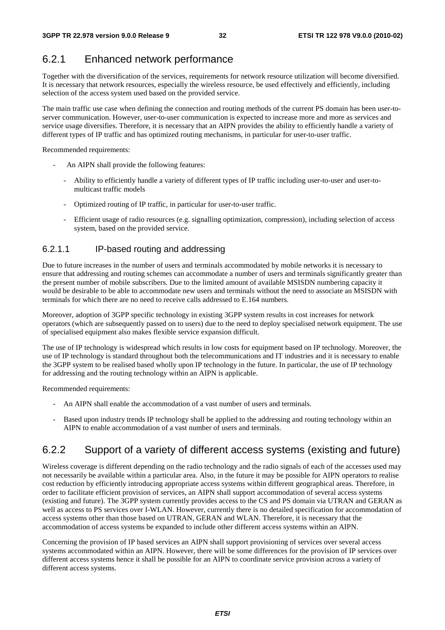## 6.2.1 Enhanced network performance

Together with the diversification of the services, requirements for network resource utilization will become diversified. It is necessary that network resources, especially the wireless resource, be used effectively and efficiently, including selection of the access system used based on the provided service.

The main traffic use case when defining the connection and routing methods of the current PS domain has been user-toserver communication. However, user-to-user communication is expected to increase more and more as services and service usage diversifies. Therefore, it is necessary that an AIPN provides the ability to efficiently handle a variety of different types of IP traffic and has optimized routing mechanisms, in particular for user-to-user traffic.

Recommended requirements:

- An AIPN shall provide the following features:
	- Ability to efficiently handle a variety of different types of IP traffic including user-to-user and user-tomulticast traffic models
	- Optimized routing of IP traffic, in particular for user-to-user traffic.
	- Efficient usage of radio resources (e.g. signalling optimization, compression), including selection of access system, based on the provided service.

### 6.2.1.1 IP-based routing and addressing

Due to future increases in the number of users and terminals accommodated by mobile networks it is necessary to ensure that addressing and routing schemes can accommodate a number of users and terminals significantly greater than the present number of mobile subscribers. Due to the limited amount of available MSISDN numbering capacity it would be desirable to be able to accommodate new users and terminals without the need to associate an MSISDN with terminals for which there are no need to receive calls addressed to E.164 numbers.

Moreover, adoption of 3GPP specific technology in existing 3GPP system results in cost increases for network operators (which are subsequently passed on to users) due to the need to deploy specialised network equipment. The use of specialised equipment also makes flexible service expansion difficult.

The use of IP technology is widespread which results in low costs for equipment based on IP technology. Moreover, the use of IP technology is standard throughout both the telecommunications and IT industries and it is necessary to enable the 3GPP system to be realised based wholly upon IP technology in the future. In particular, the use of IP technology for addressing and the routing technology within an AIPN is applicable.

Recommended requirements:

- An AIPN shall enable the accommodation of a vast number of users and terminals.
- Based upon industry trends IP technology shall be applied to the addressing and routing technology within an AIPN to enable accommodation of a vast number of users and terminals.

## 6.2.2 Support of a variety of different access systems (existing and future)

Wireless coverage is different depending on the radio technology and the radio signals of each of the accesses used may not necessarily be available within a particular area. Also, in the future it may be possible for AIPN operators to realise cost reduction by efficiently introducing appropriate access systems within different geographical areas. Therefore, in order to facilitate efficient provision of services, an AIPN shall support accommodation of several access systems (existing and future). The 3GPP system currently provides access to the CS and PS domain via UTRAN and GERAN as well as access to PS services over I-WLAN. However, currently there is no detailed specification for accommodation of access systems other than those based on UTRAN, GERAN and WLAN. Therefore, it is necessary that the accommodation of access systems be expanded to include other different access systems within an AIPN.

Concerning the provision of IP based services an AIPN shall support provisioning of services over several access systems accommodated within an AIPN. However, there will be some differences for the provision of IP services over different access systems hence it shall be possible for an AIPN to coordinate service provision across a variety of different access systems.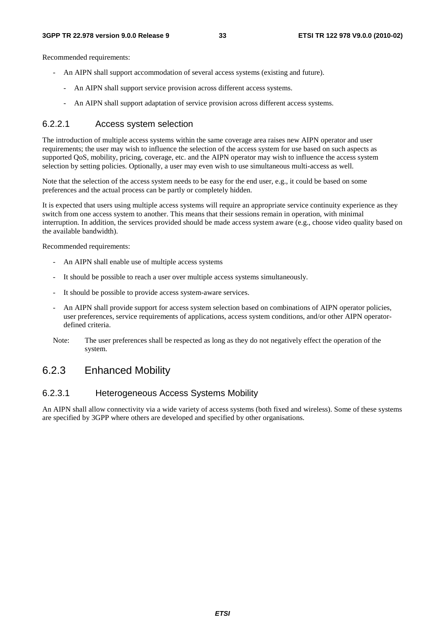Recommended requirements:

- An AIPN shall support accommodation of several access systems (existing and future).
	- An AIPN shall support service provision across different access systems.
		- An AIPN shall support adaptation of service provision across different access systems.

#### 6.2.2.1 Access system selection

The introduction of multiple access systems within the same coverage area raises new AIPN operator and user requirements; the user may wish to influence the selection of the access system for use based on such aspects as supported QoS, mobility, pricing, coverage, etc. and the AIPN operator may wish to influence the access system selection by setting policies. Optionally, a user may even wish to use simultaneous multi-access as well.

Note that the selection of the access system needs to be easy for the end user, e.g., it could be based on some preferences and the actual process can be partly or completely hidden.

It is expected that users using multiple access systems will require an appropriate service continuity experience as they switch from one access system to another. This means that their sessions remain in operation, with minimal interruption. In addition, the services provided should be made access system aware (e.g., choose video quality based on the available bandwidth).

Recommended requirements:

- An AIPN shall enable use of multiple access systems
- It should be possible to reach a user over multiple access systems simultaneously.
- It should be possible to provide access system-aware services.
- An AIPN shall provide support for access system selection based on combinations of AIPN operator policies, user preferences, service requirements of applications, access system conditions, and/or other AIPN operatordefined criteria.
- Note: The user preferences shall be respected as long as they do not negatively effect the operation of the system.

### 6.2.3 Enhanced Mobility

#### 6.2.3.1 Heterogeneous Access Systems Mobility

An AIPN shall allow connectivity via a wide variety of access systems (both fixed and wireless). Some of these systems are specified by 3GPP where others are developed and specified by other organisations.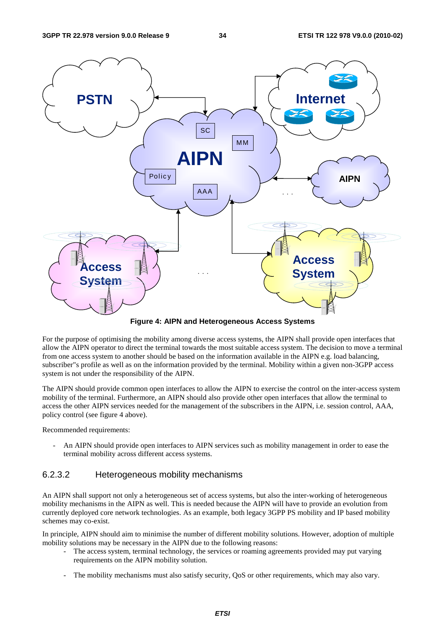

**Figure 4: AIPN and Heterogeneous Access Systems** 

For the purpose of optimising the mobility among diverse access systems, the AIPN shall provide open interfaces that allow the AIPN operator to direct the terminal towards the most suitable access system. The decision to move a terminal from one access system to another should be based on the information available in the AIPN e.g. load balancing, subscriber"s profile as well as on the information provided by the terminal. Mobility within a given non-3GPP access system is not under the responsibility of the AIPN.

The AIPN should provide common open interfaces to allow the AIPN to exercise the control on the inter-access system mobility of the terminal. Furthermore, an AIPN should also provide other open interfaces that allow the terminal to access the other AIPN services needed for the management of the subscribers in the AIPN, i.e. session control, AAA, policy control (see figure 4 above).

Recommended requirements:

An AIPN should provide open interfaces to AIPN services such as mobility management in order to ease the terminal mobility across different access systems.

#### 6.2.3.2 Heterogeneous mobility mechanisms

An AIPN shall support not only a heterogeneous set of access systems, but also the inter-working of heterogeneous mobility mechanisms in the AIPN as well. This is needed because the AIPN will have to provide an evolution from currently deployed core network technologies. As an example, both legacy 3GPP PS mobility and IP based mobility schemes may co-exist.

In principle, AIPN should aim to minimise the number of different mobility solutions. However, adoption of multiple mobility solutions may be necessary in the AIPN due to the following reasons:

- The access system, terminal technology, the services or roaming agreements provided may put varying requirements on the AIPN mobility solution.
- The mobility mechanisms must also satisfy security, QoS or other requirements, which may also vary.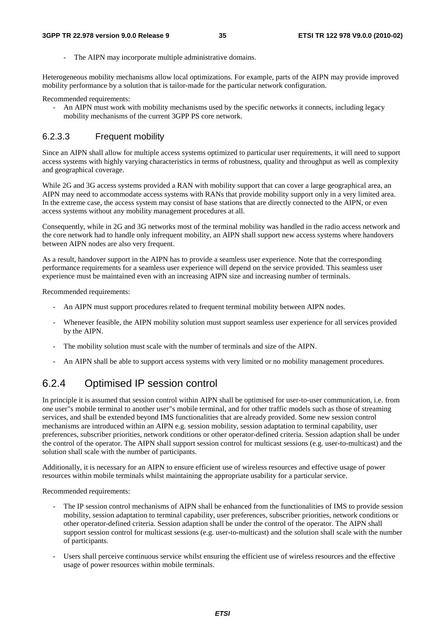The AIPN may incorporate multiple administrative domains.

Heterogeneous mobility mechanisms allow local optimizations. For example, parts of the AIPN may provide improved mobility performance by a solution that is tailor-made for the particular network configuration.

Recommended requirements:

- An AIPN must work with mobility mechanisms used by the specific networks it connects, including legacy mobility mechanisms of the current 3GPP PS core network.

#### 6.2.3.3 Frequent mobility

Since an AIPN shall allow for multiple access systems optimized to particular user requirements, it will need to support access systems with highly varying characteristics in terms of robustness, quality and throughput as well as complexity and geographical coverage.

While 2G and 3G access systems provided a RAN with mobility support that can cover a large geographical area, an AIPN may need to accommodate access systems with RANs that provide mobility support only in a very limited area. In the extreme case, the access system may consist of base stations that are directly connected to the AIPN, or even access systems without any mobility management procedures at all.

Consequently, while in 2G and 3G networks most of the terminal mobility was handled in the radio access network and the core network had to handle only infrequent mobility, an AIPN shall support new access systems where handovers between AIPN nodes are also very frequent.

As a result, handover support in the AIPN has to provide a seamless user experience. Note that the corresponding performance requirements for a seamless user experience will depend on the service provided. This seamless user experience must be maintained even with an increasing AIPN size and increasing number of terminals.

Recommended requirements:

- An AIPN must support procedures related to frequent terminal mobility between AIPN nodes.
- Whenever feasible, the AIPN mobility solution must support seamless user experience for all services provided by the AIPN.
- The mobility solution must scale with the number of terminals and size of the AIPN.
- An AIPN shall be able to support access systems with very limited or no mobility management procedures.

### 6.2.4 Optimised IP session control

In principle it is assumed that session control within AIPN shall be optimised for user-to-user communication, i.e. from one user"s mobile terminal to another user"s mobile terminal, and for other traffic models such as those of streaming services, and shall be extended beyond IMS functionalities that are already provided. Some new session control mechanisms are introduced within an AIPN e.g. session mobility, session adaptation to terminal capability, user preferences, subscriber priorities, network conditions or other operator-defined criteria. Session adaption shall be under the control of the operator. The AIPN shall support session control for multicast sessions (e.g. user-to-multicast) and the solution shall scale with the number of participants.

Additionally, it is necessary for an AIPN to ensure efficient use of wireless resources and effective usage of power resources within mobile terminals whilst maintaining the appropriate usability for a particular service.

Recommended requirements:

- The IP session control mechanisms of AIPN shall be enhanced from the functionalities of IMS to provide session mobility, session adaptation to terminal capability, user preferences, subscriber priorities, network conditions or other operator-defined criteria. Session adaption shall be under the control of the operator. The AIPN shall support session control for multicast sessions (e.g. user-to-multicast) and the solution shall scale with the number of participants.
- Users shall perceive continuous service whilst ensuring the efficient use of wireless resources and the effective usage of power resources within mobile terminals.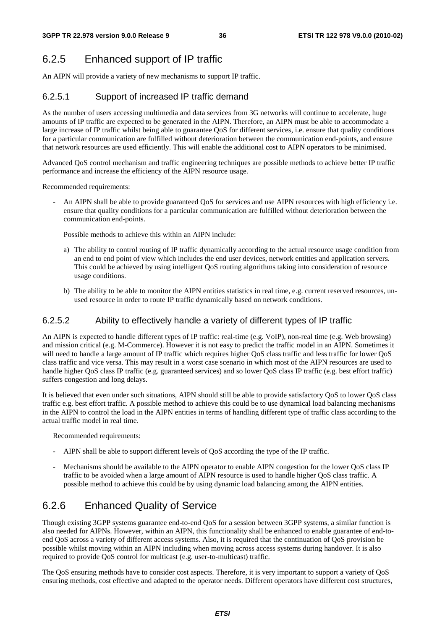## 6.2.5 Enhanced support of IP traffic

An AIPN will provide a variety of new mechanisms to support IP traffic.

### 6.2.5.1 Support of increased IP traffic demand

As the number of users accessing multimedia and data services from 3G networks will continue to accelerate, huge amounts of IP traffic are expected to be generated in the AIPN. Therefore, an AIPN must be able to accommodate a large increase of IP traffic whilst being able to guarantee QoS for different services, i.e. ensure that quality conditions for a particular communication are fulfilled without deterioration between the communication end-points, and ensure that network resources are used efficiently. This will enable the additional cost to AIPN operators to be minimised.

Advanced QoS control mechanism and traffic engineering techniques are possible methods to achieve better IP traffic performance and increase the efficiency of the AIPN resource usage.

Recommended requirements:

An AIPN shall be able to provide guaranteed OoS for services and use AIPN resources with high efficiency i.e. ensure that quality conditions for a particular communication are fulfilled without deterioration between the communication end-points.

Possible methods to achieve this within an AIPN include:

- a) The ability to control routing of IP traffic dynamically according to the actual resource usage condition from an end to end point of view which includes the end user devices, network entities and application servers. This could be achieved by using intelligent QoS routing algorithms taking into consideration of resource usage conditions.
- b) The ability to be able to monitor the AIPN entities statistics in real time, e.g. current reserved resources, unused resource in order to route IP traffic dynamically based on network conditions.

#### 6.2.5.2 Ability to effectively handle a variety of different types of IP traffic

An AIPN is expected to handle different types of IP traffic: real-time (e.g. VoIP), non-real time (e.g. Web browsing) and mission critical (e.g. M-Commerce). However it is not easy to predict the traffic model in an AIPN. Sometimes it will need to handle a large amount of IP traffic which requires higher QoS class traffic and less traffic for lower QoS class traffic and vice versa. This may result in a worst case scenario in which most of the AIPN resources are used to handle higher QoS class IP traffic (e.g. guaranteed services) and so lower QoS class IP traffic (e.g. best effort traffic) suffers congestion and long delays.

It is believed that even under such situations, AIPN should still be able to provide satisfactory QoS to lower QoS class traffic e.g. best effort traffic. A possible method to achieve this could be to use dynamical load balancing mechanisms in the AIPN to control the load in the AIPN entities in terms of handling different type of traffic class according to the actual traffic model in real time.

Recommended requirements:

- AIPN shall be able to support different levels of QoS according the type of the IP traffic.
- Mechanisms should be available to the AIPN operator to enable AIPN congestion for the lower QoS class IP traffic to be avoided when a large amount of AIPN resource is used to handle higher QoS class traffic. A possible method to achieve this could be by using dynamic load balancing among the AIPN entities.

## 6.2.6 Enhanced Quality of Service

Though existing 3GPP systems guarantee end-to-end QoS for a session between 3GPP systems, a similar function is also needed for AIPNs. However, within an AIPN, this functionality shall be enhanced to enable guarantee of end-toend QoS across a variety of different access systems. Also, it is required that the continuation of QoS provision be possible whilst moving within an AIPN including when moving across access systems during handover. It is also required to provide QoS control for multicast (e.g. user-to-multicast) traffic.

The QoS ensuring methods have to consider cost aspects. Therefore, it is very important to support a variety of QoS ensuring methods, cost effective and adapted to the operator needs. Different operators have different cost structures,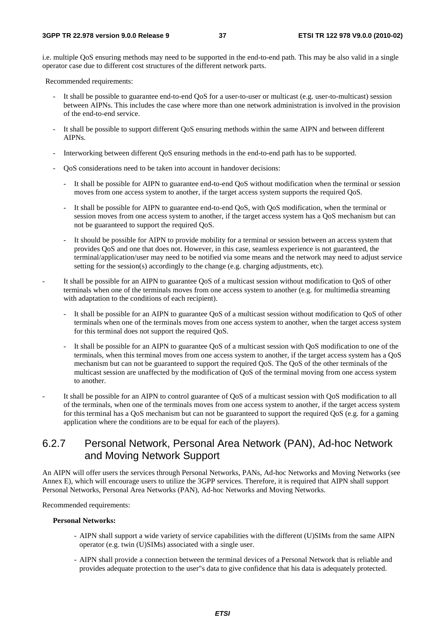i.e. multiple QoS ensuring methods may need to be supported in the end-to-end path. This may be also valid in a single operator case due to different cost structures of the different network parts.

Recommended requirements:

- It shall be possible to guarantee end-to-end QoS for a user-to-user or multicast (e.g. user-to-multicast) session between AIPNs. This includes the case where more than one network administration is involved in the provision of the end-to-end service.
- It shall be possible to support different QoS ensuring methods within the same AIPN and between different AIPNs.
- Interworking between different QoS ensuring methods in the end-to-end path has to be supported.
- QoS considerations need to be taken into account in handover decisions:
	- It shall be possible for AIPN to guarantee end-to-end QoS without modification when the terminal or session moves from one access system to another, if the target access system supports the required QoS.
	- It shall be possible for AIPN to guarantee end-to-end QoS, with QoS modification, when the terminal or session moves from one access system to another, if the target access system has a QoS mechanism but can not be guaranteed to support the required QoS.
	- It should be possible for AIPN to provide mobility for a terminal or session between an access system that provides QoS and one that does not. However, in this case, seamless experience is not guaranteed, the terminal/application/user may need to be notified via some means and the network may need to adjust service setting for the session(s) accordingly to the change (e.g. charging adjustments, etc).
- It shall be possible for an AIPN to guarantee QoS of a multicast session without modification to QoS of other terminals when one of the terminals moves from one access system to another (e.g. for multimedia streaming with adaptation to the conditions of each recipient).
	- It shall be possible for an AIPN to guarantee QoS of a multicast session without modification to QoS of other terminals when one of the terminals moves from one access system to another, when the target access system for this terminal does not support the required QoS.
	- It shall be possible for an AIPN to guarantee OoS of a multicast session with OoS modification to one of the terminals, when this terminal moves from one access system to another, if the target access system has a QoS mechanism but can not be guaranteed to support the required QoS. The QoS of the other terminals of the multicast session are unaffected by the modification of QoS of the terminal moving from one access system to another.
- It shall be possible for an AIPN to control guarantee of QoS of a multicast session with QoS modification to all of the terminals, when one of the terminals moves from one access system to another, if the target access system for this terminal has a QoS mechanism but can not be guaranteed to support the required QoS (e.g. for a gaming application where the conditions are to be equal for each of the players).

### 6.2.7 Personal Network, Personal Area Network (PAN), Ad-hoc Network and Moving Network Support

An AIPN will offer users the services through Personal Networks, PANs, Ad-hoc Networks and Moving Networks (see Annex E), which will encourage users to utilize the 3GPP services. Therefore, it is required that AIPN shall support Personal Networks, Personal Area Networks (PAN), Ad-hoc Networks and Moving Networks.

Recommended requirements:

#### **Personal Networks:**

- AIPN shall support a wide variety of service capabilities with the different (U)SIMs from the same AIPN operator (e.g. twin (U)SIMs) associated with a single user.
- AIPN shall provide a connection between the terminal devices of a Personal Network that is reliable and provides adequate protection to the user"s data to give confidence that his data is adequately protected.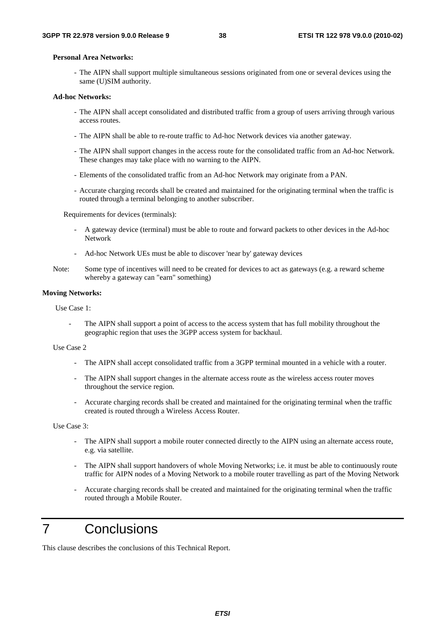#### **Personal Area Networks:**

- The AIPN shall support multiple simultaneous sessions originated from one or several devices using the same (U)SIM authority.

#### **Ad-hoc Networks:**

- The AIPN shall accept consolidated and distributed traffic from a group of users arriving through various access routes.
- The AIPN shall be able to re-route traffic to Ad-hoc Network devices via another gateway.
- The AIPN shall support changes in the access route for the consolidated traffic from an Ad-hoc Network. These changes may take place with no warning to the AIPN.
- Elements of the consolidated traffic from an Ad-hoc Network may originate from a PAN.
- Accurate charging records shall be created and maintained for the originating terminal when the traffic is routed through a terminal belonging to another subscriber.

Requirements for devices (terminals):

- A gateway device (terminal) must be able to route and forward packets to other devices in the Ad-hoc Network
- Ad-hoc Network UEs must be able to discover 'near by' gateway devices
- Note: Some type of incentives will need to be created for devices to act as gateways (e.g. a reward scheme whereby a gateway can "earn" something)

#### **Moving Networks:**

Use Case 1:

The AIPN shall support a point of access to the access system that has full mobility throughout the geographic region that uses the 3GPP access system for backhaul.

#### Use Case 2

- The AIPN shall accept consolidated traffic from a 3GPP terminal mounted in a vehicle with a router.
- The AIPN shall support changes in the alternate access route as the wireless access router moves throughout the service region.
- Accurate charging records shall be created and maintained for the originating terminal when the traffic created is routed through a Wireless Access Router.

Use Case 3:

- The AIPN shall support a mobile router connected directly to the AIPN using an alternate access route, e.g. via satellite.
- The AIPN shall support handovers of whole Moving Networks; i.e. it must be able to continuously route traffic for AIPN nodes of a Moving Network to a mobile router travelling as part of the Moving Network
- Accurate charging records shall be created and maintained for the originating terminal when the traffic routed through a Mobile Router.

## 7 Conclusions

This clause describes the conclusions of this Technical Report.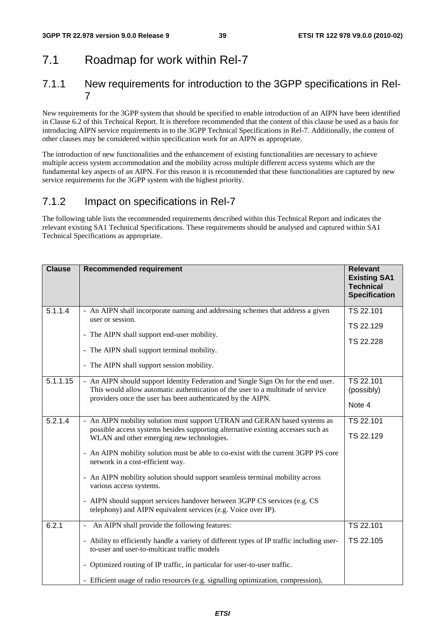## 7.1 Roadmap for work within Rel-7

### 7.1.1 New requirements for introduction to the 3GPP specifications in Rel-7

New requirements for the 3GPP system that should be specified to enable introduction of an AIPN have been identified in Clause 6.2 of this Technical Report. It is therefore recommended that the content of this clause be used as a basis for introducing AIPN service requirements in to the 3GPP Technical Specifications in Rel-7. Additionally, the content of other clauses may be considered within specification work for an AIPN as appropriate.

The introduction of new functionalities and the enhancement of existing functionalities are necessary to achieve multiple access system accommodation and the mobility across multiple different access systems which are the fundamental key aspects of an AIPN. For this reason it is recommended that these functionalities are captured by new service requirements for the 3GPP system with the highest priority.

## 7.1.2 Impact on specifications in Rel-7

The following table lists the recommended requirements described within this Technical Report and indicates the relevant existing SA1 Technical Specifications. These requirements should be analysed and captured within SA1 Technical Specifications as appropriate.

| <b>Clause</b> | <b>Recommended requirement</b>                                                                                                                                                                                                                                                                                                                                                                                                                                                                                                                                                                | <b>Relevant</b><br><b>Existing SA1</b><br><b>Technical</b><br><b>Specification</b> |
|---------------|-----------------------------------------------------------------------------------------------------------------------------------------------------------------------------------------------------------------------------------------------------------------------------------------------------------------------------------------------------------------------------------------------------------------------------------------------------------------------------------------------------------------------------------------------------------------------------------------------|------------------------------------------------------------------------------------|
| 5.1.1.4       | - An AIPN shall incorporate naming and addressing schemes that address a given<br>user or session.<br>- The AIPN shall support end-user mobility.<br>- The AIPN shall support terminal mobility.<br>- The AIPN shall support session mobility.                                                                                                                                                                                                                                                                                                                                                | TS 22.101<br>TS 22.129<br>TS 22.228                                                |
| 5.1.1.15      | - An AIPN should support Identity Federation and Single Sign On for the end user.<br>This would allow automatic authentication of the user to a multitude of service<br>providers once the user has been authenticated by the AIPN.                                                                                                                                                                                                                                                                                                                                                           | TS 22.101<br>(possibly)<br>Note 4                                                  |
| 5.2.1.4       | - An AIPN mobility solution must support UTRAN and GERAN based systems as<br>possible access systems besides supporting alternative existing accesses such as<br>WLAN and other emerging new technologies.<br>- An AIPN mobility solution must be able to co-exist with the current 3GPP PS core<br>network in a cost-efficient way.<br>- An AIPN mobility solution should support seamless terminal mobility across<br>various access systems.<br>- AIPN should support services handover between 3GPP CS services (e.g. CS<br>telephony) and AIPN equivalent services (e.g. Voice over IP). | TS 22.101<br>TS 22.129                                                             |
| 6.2.1         | An AIPN shall provide the following features:<br>- Ability to efficiently handle a variety of different types of IP traffic including user-<br>to-user and user-to-multicast traffic models<br>- Optimized routing of IP traffic, in particular for user-to-user traffic.<br>- Efficient usage of radio resources (e.g. signalling optimization, compression),                                                                                                                                                                                                                                | TS 22.101<br>TS 22.105                                                             |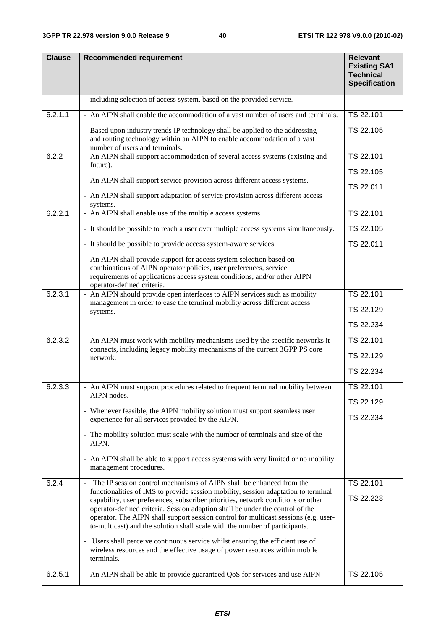| <b>Clause</b> | <b>Recommended requirement</b>                                                                                                                                                                                                                                                                                                                                                                                                | <b>Relevant</b><br><b>Existing SA1</b><br><b>Technical</b><br><b>Specification</b> |  |  |  |
|---------------|-------------------------------------------------------------------------------------------------------------------------------------------------------------------------------------------------------------------------------------------------------------------------------------------------------------------------------------------------------------------------------------------------------------------------------|------------------------------------------------------------------------------------|--|--|--|
|               | including selection of access system, based on the provided service.                                                                                                                                                                                                                                                                                                                                                          |                                                                                    |  |  |  |
| 6.2.1.1       | - An AIPN shall enable the accommodation of a vast number of users and terminals.                                                                                                                                                                                                                                                                                                                                             | TS 22.101                                                                          |  |  |  |
|               | - Based upon industry trends IP technology shall be applied to the addressing<br>and routing technology within an AIPN to enable accommodation of a vast<br>number of users and terminals.                                                                                                                                                                                                                                    | TS 22.105                                                                          |  |  |  |
| 6.2.2         | - An AIPN shall support accommodation of several access systems (existing and<br>future).                                                                                                                                                                                                                                                                                                                                     | TS 22.101                                                                          |  |  |  |
|               |                                                                                                                                                                                                                                                                                                                                                                                                                               | TS 22.105                                                                          |  |  |  |
|               | - An AIPN shall support service provision across different access systems.                                                                                                                                                                                                                                                                                                                                                    | TS 22.011                                                                          |  |  |  |
|               | - An AIPN shall support adaptation of service provision across different access<br>systems.                                                                                                                                                                                                                                                                                                                                   |                                                                                    |  |  |  |
| 6.2.2.1       | - An AIPN shall enable use of the multiple access systems                                                                                                                                                                                                                                                                                                                                                                     | TS 22.101                                                                          |  |  |  |
|               | - It should be possible to reach a user over multiple access systems simultaneously.                                                                                                                                                                                                                                                                                                                                          | TS 22.105                                                                          |  |  |  |
|               | - It should be possible to provide access system-aware services.                                                                                                                                                                                                                                                                                                                                                              | TS 22.011                                                                          |  |  |  |
|               | - An AIPN shall provide support for access system selection based on<br>combinations of AIPN operator policies, user preferences, service<br>requirements of applications access system conditions, and/or other AIPN<br>operator-defined criteria.                                                                                                                                                                           |                                                                                    |  |  |  |
| 6.2.3.1       | - An AIPN should provide open interfaces to AIPN services such as mobility                                                                                                                                                                                                                                                                                                                                                    | TS 22.101                                                                          |  |  |  |
|               | management in order to ease the terminal mobility across different access<br>systems.                                                                                                                                                                                                                                                                                                                                         | TS 22.129                                                                          |  |  |  |
|               |                                                                                                                                                                                                                                                                                                                                                                                                                               | TS 22.234                                                                          |  |  |  |
| 6.2.3.2       | - An AIPN must work with mobility mechanisms used by the specific networks it                                                                                                                                                                                                                                                                                                                                                 | TS 22.101                                                                          |  |  |  |
|               | connects, including legacy mobility mechanisms of the current 3GPP PS core<br>network.                                                                                                                                                                                                                                                                                                                                        | TS 22.129                                                                          |  |  |  |
|               |                                                                                                                                                                                                                                                                                                                                                                                                                               | TS 22.234                                                                          |  |  |  |
| 6.2.3.3       | - An AIPN must support procedures related to frequent terminal mobility between                                                                                                                                                                                                                                                                                                                                               | TS 22.101                                                                          |  |  |  |
|               | AIPN nodes.                                                                                                                                                                                                                                                                                                                                                                                                                   | TS 22.129                                                                          |  |  |  |
|               | - Whenever feasible, the AIPN mobility solution must support seamless user<br>experience for all services provided by the AIPN.                                                                                                                                                                                                                                                                                               | TS 22.234                                                                          |  |  |  |
|               | - The mobility solution must scale with the number of terminals and size of the<br>AIPN.                                                                                                                                                                                                                                                                                                                                      |                                                                                    |  |  |  |
|               | - An AIPN shall be able to support access systems with very limited or no mobility<br>management procedures.                                                                                                                                                                                                                                                                                                                  |                                                                                    |  |  |  |
| 6.2.4         | The IP session control mechanisms of AIPN shall be enhanced from the<br>$\overline{\phantom{a}}$                                                                                                                                                                                                                                                                                                                              | TS 22.101                                                                          |  |  |  |
|               | functionalities of IMS to provide session mobility, session adaptation to terminal<br>capability, user preferences, subscriber priorities, network conditions or other<br>operator-defined criteria. Session adaption shall be under the control of the<br>operator. The AIPN shall support session control for multicast sessions (e.g. user-<br>to-multicast) and the solution shall scale with the number of participants. | TS 22.228                                                                          |  |  |  |
|               | - Users shall perceive continuous service whilst ensuring the efficient use of<br>wireless resources and the effective usage of power resources within mobile<br>terminals.                                                                                                                                                                                                                                                   |                                                                                    |  |  |  |
| 6.2.5.1       | - An AIPN shall be able to provide guaranteed QoS for services and use AIPN                                                                                                                                                                                                                                                                                                                                                   | TS 22.105                                                                          |  |  |  |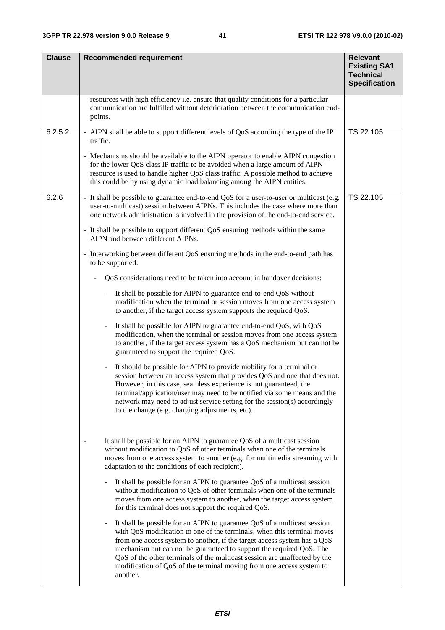| <b>Clause</b> | <b>Recommended requirement</b>                                                                                                                                                                                                                                                                                                                                                                                                                                                                           | <b>Relevant</b><br><b>Existing SA1</b><br><b>Technical</b><br><b>Specification</b> |  |  |  |  |  |  |  |  |
|---------------|----------------------------------------------------------------------------------------------------------------------------------------------------------------------------------------------------------------------------------------------------------------------------------------------------------------------------------------------------------------------------------------------------------------------------------------------------------------------------------------------------------|------------------------------------------------------------------------------------|--|--|--|--|--|--|--|--|
|               | resources with high efficiency i.e. ensure that quality conditions for a particular<br>communication are fulfilled without deterioration between the communication end-<br>points.                                                                                                                                                                                                                                                                                                                       |                                                                                    |  |  |  |  |  |  |  |  |
| 6.2.5.2       | - AIPN shall be able to support different levels of QoS according the type of the IP<br>TS 22.105<br>traffic.                                                                                                                                                                                                                                                                                                                                                                                            |                                                                                    |  |  |  |  |  |  |  |  |
|               | - Mechanisms should be available to the AIPN operator to enable AIPN congestion<br>for the lower QoS class IP traffic to be avoided when a large amount of AIPN<br>resource is used to handle higher QoS class traffic. A possible method to achieve<br>this could be by using dynamic load balancing among the AIPN entities.                                                                                                                                                                           |                                                                                    |  |  |  |  |  |  |  |  |
| 6.2.6         | - It shall be possible to guarantee end-to-end QoS for a user-to-user or multicast (e.g.<br>user-to-multicast) session between AIPNs. This includes the case where more than<br>one network administration is involved in the provision of the end-to-end service.                                                                                                                                                                                                                                       | TS 22.105                                                                          |  |  |  |  |  |  |  |  |
|               | - It shall be possible to support different QoS ensuring methods within the same<br>AIPN and between different AIPNs.                                                                                                                                                                                                                                                                                                                                                                                    |                                                                                    |  |  |  |  |  |  |  |  |
|               | - Interworking between different QoS ensuring methods in the end-to-end path has<br>to be supported.                                                                                                                                                                                                                                                                                                                                                                                                     |                                                                                    |  |  |  |  |  |  |  |  |
|               | QoS considerations need to be taken into account in handover decisions:                                                                                                                                                                                                                                                                                                                                                                                                                                  |                                                                                    |  |  |  |  |  |  |  |  |
|               | It shall be possible for AIPN to guarantee end-to-end QoS without<br>$\equiv$<br>modification when the terminal or session moves from one access system<br>to another, if the target access system supports the required QoS.                                                                                                                                                                                                                                                                            |                                                                                    |  |  |  |  |  |  |  |  |
|               | It shall be possible for AIPN to guarantee end-to-end QoS, with QoS<br>$\qquad \qquad \blacksquare$<br>modification, when the terminal or session moves from one access system<br>to another, if the target access system has a QoS mechanism but can not be<br>guaranteed to support the required QoS.                                                                                                                                                                                                  |                                                                                    |  |  |  |  |  |  |  |  |
|               | It should be possible for AIPN to provide mobility for a terminal or<br>session between an access system that provides QoS and one that does not.<br>However, in this case, seamless experience is not guaranteed, the<br>terminal/application/user may need to be notified via some means and the<br>network may need to adjust service setting for the session(s) accordingly<br>to the change (e.g. charging adjustments, etc).                                                                       |                                                                                    |  |  |  |  |  |  |  |  |
|               | It shall be possible for an AIPN to guarantee QoS of a multicast session<br>without modification to QoS of other terminals when one of the terminals<br>moves from one access system to another (e.g. for multimedia streaming with<br>adaptation to the conditions of each recipient).                                                                                                                                                                                                                  |                                                                                    |  |  |  |  |  |  |  |  |
|               | It shall be possible for an AIPN to guarantee QoS of a multicast session<br>without modification to QoS of other terminals when one of the terminals<br>moves from one access system to another, when the target access system<br>for this terminal does not support the required QoS.                                                                                                                                                                                                                   |                                                                                    |  |  |  |  |  |  |  |  |
|               | It shall be possible for an AIPN to guarantee QoS of a multicast session<br>$\qquad \qquad \blacksquare$<br>with QoS modification to one of the terminals, when this terminal moves<br>from one access system to another, if the target access system has a QoS<br>mechanism but can not be guaranteed to support the required QoS. The<br>QoS of the other terminals of the multicast session are unaffected by the<br>modification of QoS of the terminal moving from one access system to<br>another. |                                                                                    |  |  |  |  |  |  |  |  |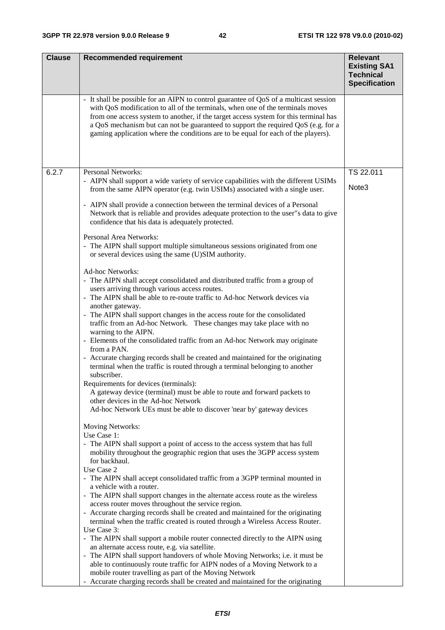| <b>Clause</b> | <b>Recommended requirement</b>                                                                                                                                                                                                                                                                                                                                                                                                            | <b>Relevant</b><br><b>Existing SA1</b><br><b>Technical</b><br><b>Specification</b> |
|---------------|-------------------------------------------------------------------------------------------------------------------------------------------------------------------------------------------------------------------------------------------------------------------------------------------------------------------------------------------------------------------------------------------------------------------------------------------|------------------------------------------------------------------------------------|
|               | - It shall be possible for an AIPN to control guarantee of QoS of a multicast session<br>with QoS modification to all of the terminals, when one of the terminals moves<br>from one access system to another, if the target access system for this terminal has<br>a QoS mechanism but can not be guaranteed to support the required QoS (e.g. for a<br>gaming application where the conditions are to be equal for each of the players). |                                                                                    |
| 6.2.7         | Personal Networks:                                                                                                                                                                                                                                                                                                                                                                                                                        | TS 22.011                                                                          |
|               | - AIPN shall support a wide variety of service capabilities with the different USIMs<br>from the same AIPN operator (e.g. twin USIMs) associated with a single user.                                                                                                                                                                                                                                                                      | Note <sub>3</sub>                                                                  |
|               | - AIPN shall provide a connection between the terminal devices of a Personal<br>Network that is reliable and provides adequate protection to the user"s data to give<br>confidence that his data is adequately protected.                                                                                                                                                                                                                 |                                                                                    |
|               | Personal Area Networks:<br>- The AIPN shall support multiple simultaneous sessions originated from one<br>or several devices using the same (U)SIM authority.                                                                                                                                                                                                                                                                             |                                                                                    |
|               | <b>Ad-hoc Networks:</b><br>- The AIPN shall accept consolidated and distributed traffic from a group of<br>users arriving through various access routes.<br>- The AIPN shall be able to re-route traffic to Ad-hoc Network devices via                                                                                                                                                                                                    |                                                                                    |
|               | another gateway.<br>- The AIPN shall support changes in the access route for the consolidated<br>traffic from an Ad-hoc Network. These changes may take place with no<br>warning to the AIPN.<br>- Elements of the consolidated traffic from an Ad-hoc Network may originate                                                                                                                                                              |                                                                                    |
|               | from a PAN.<br>- Accurate charging records shall be created and maintained for the originating<br>terminal when the traffic is routed through a terminal belonging to another                                                                                                                                                                                                                                                             |                                                                                    |
|               | subscriber.<br>Requirements for devices (terminals):<br>A gateway device (terminal) must be able to route and forward packets to<br>other devices in the Ad-hoc Network                                                                                                                                                                                                                                                                   |                                                                                    |
|               | Ad-hoc Network UEs must be able to discover 'near by' gateway devices<br>Moving Networks:                                                                                                                                                                                                                                                                                                                                                 |                                                                                    |
|               | Use Case 1:<br>- The AIPN shall support a point of access to the access system that has full<br>mobility throughout the geographic region that uses the 3GPP access system<br>for backhaul.                                                                                                                                                                                                                                               |                                                                                    |
|               | Use Case 2<br>- The AIPN shall accept consolidated traffic from a 3GPP terminal mounted in<br>a vehicle with a router.                                                                                                                                                                                                                                                                                                                    |                                                                                    |
|               | - The AIPN shall support changes in the alternate access route as the wireless                                                                                                                                                                                                                                                                                                                                                            |                                                                                    |
|               | access router moves throughout the service region.<br>- Accurate charging records shall be created and maintained for the originating<br>terminal when the traffic created is routed through a Wireless Access Router.                                                                                                                                                                                                                    |                                                                                    |
|               | Use Case 3:<br>- The AIPN shall support a mobile router connected directly to the AIPN using<br>an alternate access route, e.g. via satellite.                                                                                                                                                                                                                                                                                            |                                                                                    |
|               | - The AIPN shall support handovers of whole Moving Networks; i.e. it must be                                                                                                                                                                                                                                                                                                                                                              |                                                                                    |
|               | able to continuously route traffic for AIPN nodes of a Moving Network to a<br>mobile router travelling as part of the Moving Network                                                                                                                                                                                                                                                                                                      |                                                                                    |
|               | - Accurate charging records shall be created and maintained for the originating                                                                                                                                                                                                                                                                                                                                                           |                                                                                    |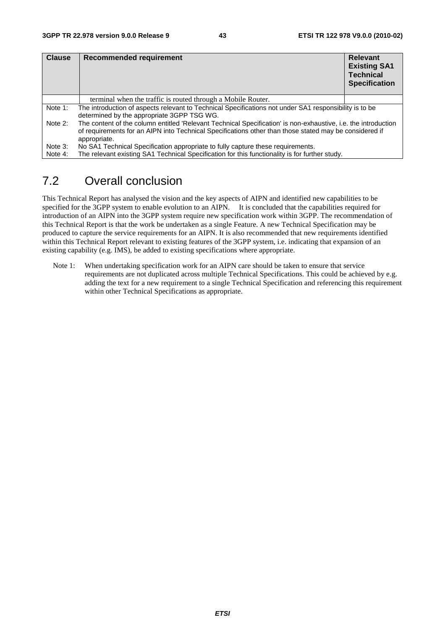| <b>Clause</b> | Recommended requirement                                                                                                                                                                                                                  | <b>Relevant</b><br><b>Existing SA1</b><br><b>Technical</b><br><b>Specification</b> |
|---------------|------------------------------------------------------------------------------------------------------------------------------------------------------------------------------------------------------------------------------------------|------------------------------------------------------------------------------------|
|               | terminal when the traffic is routed through a Mobile Router.                                                                                                                                                                             |                                                                                    |
| Note 1:       | The introduction of aspects relevant to Technical Specifications not under SA1 responsibility is to be<br>determined by the appropriate 3GPP TSG WG.                                                                                     |                                                                                    |
| Note 2:       | The content of the column entitled 'Relevant Technical Specification' is non-exhaustive, i.e. the introduction<br>of requirements for an AIPN into Technical Specifications other than those stated may be considered if<br>appropriate. |                                                                                    |
| Note 3:       | No SA1 Technical Specification appropriate to fully capture these requirements.                                                                                                                                                          |                                                                                    |
| Note 4:       | The relevant existing SA1 Technical Specification for this functionality is for further study.                                                                                                                                           |                                                                                    |

## 7.2 Overall conclusion

This Technical Report has analysed the vision and the key aspects of AIPN and identified new capabilities to be specified for the 3GPP system to enable evolution to an AIPN. It is concluded that the capabilities required for introduction of an AIPN into the 3GPP system require new specification work within 3GPP. The recommendation of this Technical Report is that the work be undertaken as a single Feature. A new Technical Specification may be produced to capture the service requirements for an AIPN. It is also recommended that new requirements identified within this Technical Report relevant to existing features of the 3GPP system, i.e. indicating that expansion of an existing capability (e.g. IMS), be added to existing specifications where appropriate.

Note 1: When undertaking specification work for an AIPN care should be taken to ensure that service requirements are not duplicated across multiple Technical Specifications. This could be achieved by e.g. adding the text for a new requirement to a single Technical Specification and referencing this requirement within other Technical Specifications as appropriate.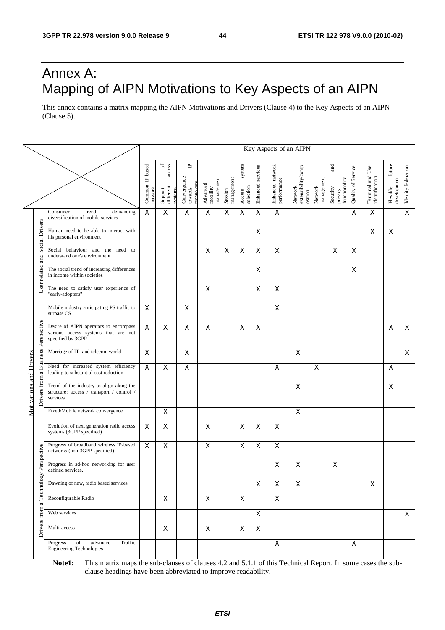## Annex A: Mapping of AIPN Motivations to Key Aspects of an AIPN

This annex contains a matrix mapping the AIPN Motivations and Drivers (Clause 4) to the Key Aspects of an AIPN (Clause 5).

|                                                |                                                                                                   |                            |                                                         |                                           |                                   |                       |                               |                           |                                 | Key Aspects of an AIPN                   |                         |                                             |                    |                                     |                                   |                     |
|------------------------------------------------|---------------------------------------------------------------------------------------------------|----------------------------|---------------------------------------------------------|-------------------------------------------|-----------------------------------|-----------------------|-------------------------------|---------------------------|---------------------------------|------------------------------------------|-------------------------|---------------------------------------------|--------------------|-------------------------------------|-----------------------------------|---------------------|
|                                                |                                                                                                   | Common IP-based<br>network | access<br>$\rm ^{6}$<br>different<br>Support<br>systems | ٩<br>Convergence<br>towards<br>technology | managemen<br>Advanced<br>mobility | management<br>Session | system<br>selection<br>Access | Enhanced services         | Enhanced network<br>performance | Network<br>extensibility/comp<br>osition | management<br>Network   | and<br>functionality<br>Security<br>privacy | Quality of Service | Terminal and User<br>identification | future<br>development<br>Flexible | Identity federation |
|                                                | Consumer<br>demanding<br>trend<br>diversification of mobile services                              | $\boldsymbol{\mathsf{X}}$  | $\mathsf X$                                             | $\mathsf X$                               | $\overline{\mathsf{x}}$           | X                     | $\mathsf X$                   | X                         | $\overline{\mathsf{x}}$         |                                          |                         |                                             | X                  | X                                   |                                   | $\overline{X}$      |
| <b>Social Drivers</b>                          | Human need to be able to interact with<br>his personal environment                                |                            |                                                         |                                           |                                   |                       |                               | X                         |                                 |                                          |                         |                                             |                    | X                                   | X                                 |                     |
| md                                             | Social behaviour and the<br>need to<br>understand one's environment                               |                            |                                                         |                                           | $\mathsf X$                       | X                     | $\mathsf X$                   | $\pmb{\times}$            | X                               |                                          |                         | X                                           | X                  |                                     |                                   |                     |
| related                                        | The social trend of increasing differences<br>in income within societies                          |                            |                                                         |                                           |                                   |                       |                               | X                         |                                 |                                          |                         |                                             | X                  |                                     |                                   |                     |
| User                                           | The need to satisfy user experience of<br>"early-adopters"                                        |                            |                                                         |                                           | X                                 |                       |                               | X                         | $\pmb{\times}$                  |                                          |                         |                                             |                    |                                     |                                   |                     |
|                                                | Mobile industry anticipating PS traffic to<br>surpass CS                                          | $\mathsf{X}$               |                                                         | X                                         |                                   |                       |                               |                           | X                               |                                          |                         |                                             |                    |                                     |                                   |                     |
| <b>Business Perspective</b>                    | Desire of AIPN operators to encompass<br>various access systems that are not<br>specified by 3GPP | $\overline{\mathsf{x}}$    | $\overline{\mathsf{x}}$                                 | $\overline{\mathsf{x}}$                   | X                                 |                       | X                             | $\mathsf{X}$              |                                 |                                          |                         |                                             |                    |                                     | X                                 | $\overline{X}$      |
|                                                | Marriage of IT- and telecom world                                                                 | $\overline{\mathsf{x}}$    |                                                         | $\overline{\mathsf{x}}$                   |                                   |                       |                               |                           |                                 | X                                        |                         |                                             |                    |                                     |                                   | $\overline{X}$      |
| $\mathbf{\sigma}$                              | Need for increased system efficiency<br>leading to substantial cost reduction                     | $\overline{\mathsf{x}}$    | $\overline{\mathsf{x}}$                                 | $\overline{X}$                            |                                   |                       |                               |                           | $\overline{\mathsf{x}}$         |                                          | $\overline{\mathsf{x}}$ |                                             |                    |                                     | X                                 |                     |
| <b>Motivations and Drivers</b><br>from<br>vers | Trend of the industry to align along the<br>structure: access / transport / control /<br>services |                            |                                                         |                                           |                                   |                       |                               |                           |                                 | X                                        |                         |                                             |                    |                                     | X                                 |                     |
|                                                | Fixed/Mobile network convergence                                                                  |                            | $\overline{\mathsf{x}}$                                 |                                           |                                   |                       |                               |                           |                                 | $\pmb{\times}$                           |                         |                                             |                    |                                     |                                   |                     |
|                                                | Evolution of next generation radio access<br>systems (3GPP specified)                             | $\mathsf{X}$               | X                                                       |                                           | $\mathsf X$                       |                       | $\mathsf X$                   | $\boldsymbol{\mathsf{X}}$ | $\mathsf{X}$                    |                                          |                         |                                             |                    |                                     |                                   |                     |
|                                                | Progress of broadband wireless IP-based<br>networks (non-3GPP specified)                          | $\mathsf{X}$               | $\pmb{\times}$                                          |                                           | $\pmb{\times}$                    |                       | X                             | $\pmb{\times}$            | $\pmb{\times}$                  |                                          |                         |                                             |                    |                                     |                                   |                     |
| gy Perspective                                 | Progress in ad-hoc networking for user<br>defined services.                                       |                            |                                                         |                                           |                                   |                       |                               |                           | $\pmb{\times}$                  | $\pmb{\times}$                           |                         | X                                           |                    |                                     |                                   |                     |
| Technol                                        | Dawning of new, radio based services                                                              |                            |                                                         |                                           |                                   |                       |                               | X                         | X                               | X                                        |                         |                                             |                    | X                                   |                                   |                     |
|                                                | Reconfigurable Radio                                                                              |                            | $\pmb{\mathsf{X}}$                                      |                                           | $\mathsf{X}$                      |                       | $\mathsf{X}$                  |                           | $\mathsf{X}$                    |                                          |                         |                                             |                    |                                     |                                   |                     |
| from                                           | Web services                                                                                      |                            |                                                         |                                           |                                   |                       |                               | X                         |                                 |                                          |                         |                                             |                    |                                     |                                   | X                   |
| Drivers                                        | Multi-access                                                                                      |                            | $\overline{X}$                                          |                                           | $\overline{\mathsf{x}}$           |                       | $\pmb{\times}$                | $\mathsf{X}$              |                                 |                                          |                         |                                             |                    |                                     |                                   |                     |
|                                                | Progress<br>of<br>advanced<br>Traffic<br><b>Engineering Technologies</b>                          |                            |                                                         |                                           |                                   |                       |                               |                           | X                               |                                          |                         |                                             | $\mathsf{X}$       |                                     |                                   |                     |

**Note1:** This matrix maps the sub-clauses of clauses 4.2 and 5.1.1 of this Technical Report. In some cases the subclause headings have been abbreviated to improve readability.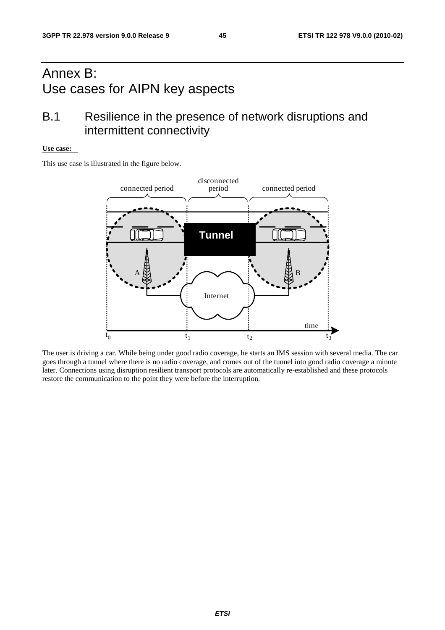## Annex B: Use cases for AIPN key aspects

## B.1 Resilience in the presence of network disruptions and intermittent connectivity

#### **Use case:**

This use case is illustrated in the figure below.



The user is driving a car. While being under good radio coverage, he starts an IMS session with several media. The car goes through a tunnel where there is no radio coverage, and comes out of the tunnel into good radio coverage a minute later. Connections using disruption resilient transport protocols are automatically re-established and these protocols restore the communication to the point they were before the interruption.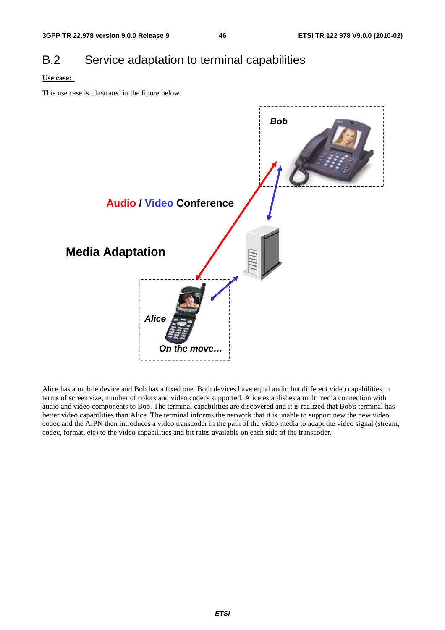## B.2 Service adaptation to terminal capabilities

#### **Use case:**

This use case is illustrated in the figure below.



Alice has a mobile device and Bob has a fixed one. Both devices have equal audio but different video capabilities in terms of screen size, number of colors and video codecs supported. Alice establishes a multimedia connection with audio and video components to Bob. The terminal capabilities are discovered and it is realized that Bob's terminal has better video capabilities than Alice. The terminal informs the network that it is unable to support new the new video codec and the AIPN then introduces a video transcoder in the path of the video media to adapt the video signal (stream, codec, format, etc) to the video capabilities and bit rates available on each side of the transcoder.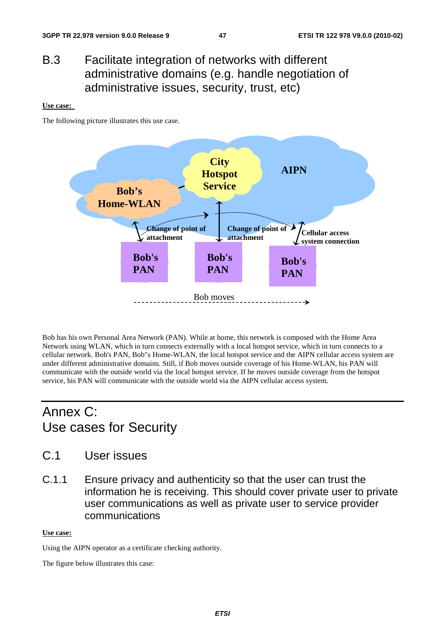## B.3 Facilitate integration of networks with different administrative domains (e.g. handle negotiation of administrative issues, security, trust, etc)

#### **Use case:**

The following picture illustrates this use case.



Bob has his own Personal Area Network (PAN). While at home, this network is composed with the Home Area Network using WLAN, which in turn connects externally with a local hotspot service, which in turn connects to a cellular network. Bob's PAN, Bob"s Home-WLAN, the local hotspot service and the AIPN cellular access system are under different administrative domains. Still, if Bob moves outside coverage of his Home-WLAN, his PAN will communicate with the outside world via the local hotspot service. If he moves outside coverage from the hotspot service, his PAN will communicate with the outside world via the AIPN cellular access system.

## Annex C: Use cases for Security

- C.1 User issues
- C.1.1 Ensure privacy and authenticity so that the user can trust the information he is receiving. This should cover private user to private user communications as well as private user to service provider communications

#### **Use case:**

Using the AIPN operator as a certificate checking authority.

The figure below illustrates this case: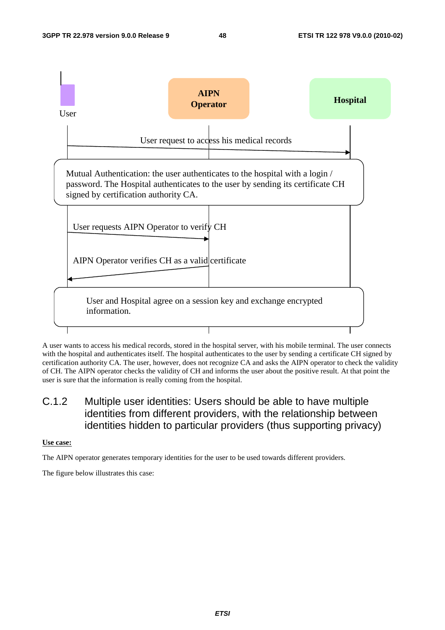

A user wants to access his medical records, stored in the hospital server, with his mobile terminal. The user connects with the hospital and authenticates itself. The hospital authenticates to the user by sending a certificate CH signed by certification authority CA. The user, however, does not recognize CA and asks the AIPN operator to check the validity of CH. The AIPN operator checks the validity of CH and informs the user about the positive result. At that point the user is sure that the information is really coming from the hospital.

### C.1.2 Multiple user identities: Users should be able to have multiple identities from different providers, with the relationship between identities hidden to particular providers (thus supporting privacy)

**Use case:**

The AIPN operator generates temporary identities for the user to be used towards different providers.

The figure below illustrates this case: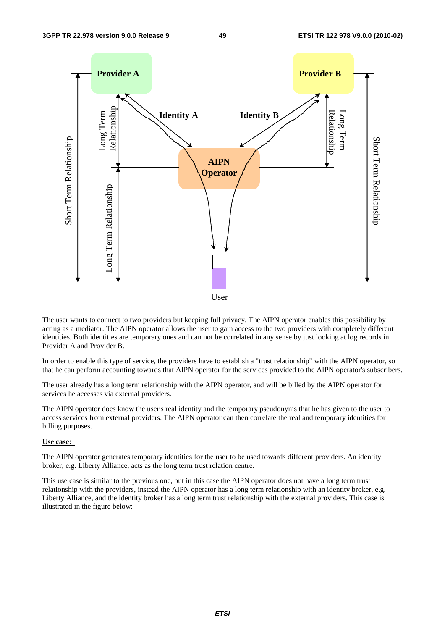

The user wants to connect to two providers but keeping full privacy. The AIPN operator enables this possibility by acting as a mediator. The AIPN operator allows the user to gain access to the two providers with completely different identities. Both identities are temporary ones and can not be correlated in any sense by just looking at log records in Provider A and Provider B.

In order to enable this type of service, the providers have to establish a "trust relationship" with the AIPN operator, so that he can perform accounting towards that AIPN operator for the services provided to the AIPN operator's subscribers.

The user already has a long term relationship with the AIPN operator, and will be billed by the AIPN operator for services he accesses via external providers.

The AIPN operator does know the user's real identity and the temporary pseudonyms that he has given to the user to access services from external providers. The AIPN operator can then correlate the real and temporary identities for billing purposes.

#### **Use case:**

The AIPN operator generates temporary identities for the user to be used towards different providers. An identity broker, e.g. Liberty Alliance, acts as the long term trust relation centre.

This use case is similar to the previous one, but in this case the AIPN operator does not have a long term trust relationship with the providers, instead the AIPN operator has a long term relationship with an identity broker, e.g. Liberty Alliance, and the identity broker has a long term trust relationship with the external providers. This case is illustrated in the figure below: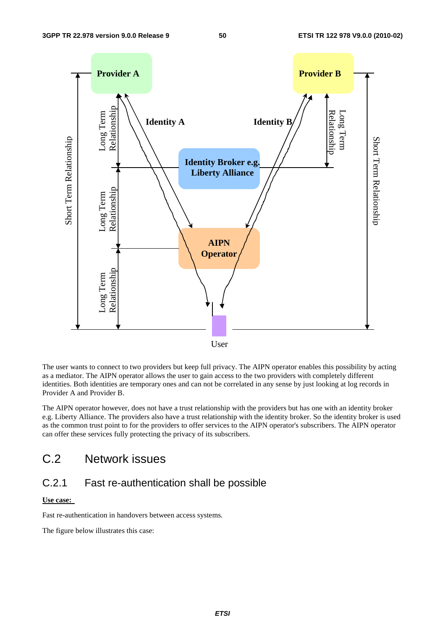

The user wants to connect to two providers but keep full privacy. The AIPN operator enables this possibility by acting as a mediator. The AIPN operator allows the user to gain access to the two providers with completely different identities. Both identities are temporary ones and can not be correlated in any sense by just looking at log records in Provider A and Provider B.

The AIPN operator however, does not have a trust relationship with the providers but has one with an identity broker e.g. Liberty Alliance. The providers also have a trust relationship with the identity broker. So the identity broker is used as the common trust point to for the providers to offer services to the AIPN operator's subscribers. The AIPN operator can offer these services fully protecting the privacy of its subscribers.

## C.2 Network issues

## C.2.1 Fast re-authentication shall be possible

#### **Use case:**

Fast re-authentication in handovers between access systems.

The figure below illustrates this case: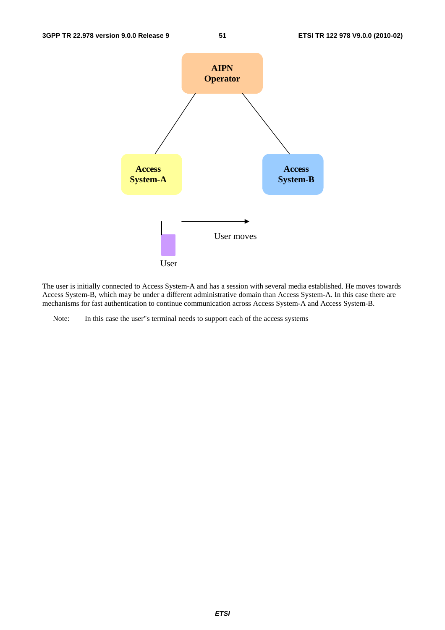

The user is initially connected to Access System-A and has a session with several media established. He moves towards Access System-B, which may be under a different administrative domain than Access System-A. In this case there are mechanisms for fast authentication to continue communication across Access System-A and Access System-B.

Note: In this case the user"s terminal needs to support each of the access systems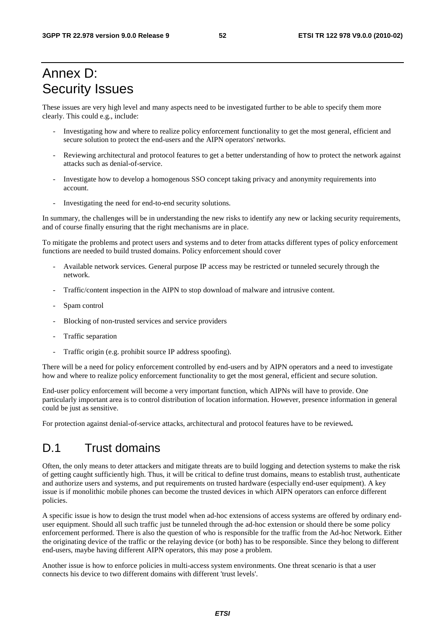## Annex D: Security Issues

These issues are very high level and many aspects need to be investigated further to be able to specify them more clearly. This could e.g., include:

- Investigating how and where to realize policy enforcement functionality to get the most general, efficient and secure solution to protect the end-users and the AIPN operators' networks.
- Reviewing architectural and protocol features to get a better understanding of how to protect the network against attacks such as denial-of-service.
- Investigate how to develop a homogenous SSO concept taking privacy and anonymity requirements into account.
- Investigating the need for end-to-end security solutions.

In summary, the challenges will be in understanding the new risks to identify any new or lacking security requirements, and of course finally ensuring that the right mechanisms are in place.

To mitigate the problems and protect users and systems and to deter from attacks different types of policy enforcement functions are needed to build trusted domains. Policy enforcement should cover

- Available network services. General purpose IP access may be restricted or tunneled securely through the network.
- Traffic/content inspection in the AIPN to stop download of malware and intrusive content.
- Spam control
- Blocking of non-trusted services and service providers
- Traffic separation
- Traffic origin (e.g. prohibit source IP address spoofing).

There will be a need for policy enforcement controlled by end-users and by AIPN operators and a need to investigate how and where to realize policy enforcement functionality to get the most general, efficient and secure solution.

End-user policy enforcement will become a very important function, which AIPNs will have to provide. One particularly important area is to control distribution of location information. However, presence information in general could be just as sensitive.

For protection against denial-of-service attacks, architectural and protocol features have to be reviewed**.** 

## D.1 Trust domains

Often, the only means to deter attackers and mitigate threats are to build logging and detection systems to make the risk of getting caught sufficiently high. Thus, it will be critical to define trust domains, means to establish trust, authenticate and authorize users and systems, and put requirements on trusted hardware (especially end-user equipment). A key issue is if monolithic mobile phones can become the trusted devices in which AIPN operators can enforce different policies.

A specific issue is how to design the trust model when ad-hoc extensions of access systems are offered by ordinary enduser equipment. Should all such traffic just be tunneled through the ad-hoc extension or should there be some policy enforcement performed. There is also the question of who is responsible for the traffic from the Ad-hoc Network. Either the originating device of the traffic or the relaying device (or both) has to be responsible. Since they belong to different end-users, maybe having different AIPN operators, this may pose a problem.

Another issue is how to enforce policies in multi-access system environments. One threat scenario is that a user connects his device to two different domains with different 'trust levels'.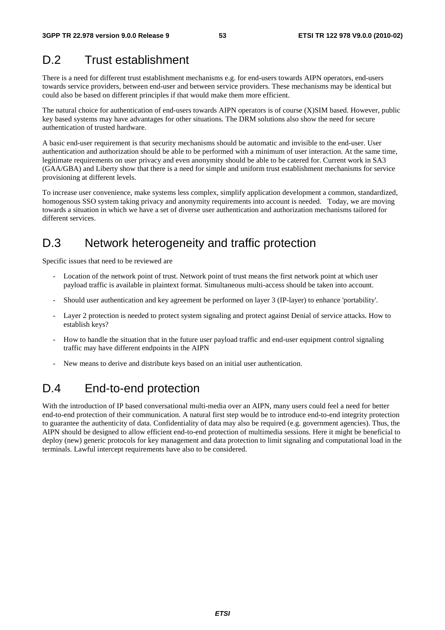## D.2 Trust establishment

There is a need for different trust establishment mechanisms e.g. for end-users towards AIPN operators, end-users towards service providers, between end-user and between service providers. These mechanisms may be identical but could also be based on different principles if that would make them more efficient.

The natural choice for authentication of end-users towards AIPN operators is of course (X)SIM based. However, public key based systems may have advantages for other situations. The DRM solutions also show the need for secure authentication of trusted hardware.

A basic end-user requirement is that security mechanisms should be automatic and invisible to the end-user. User authentication and authorization should be able to be performed with a minimum of user interaction. At the same time, legitimate requirements on user privacy and even anonymity should be able to be catered for. Current work in SA3 (GAA/GBA) and Liberty show that there is a need for simple and uniform trust establishment mechanisms for service provisioning at different levels.

To increase user convenience, make systems less complex, simplify application development a common, standardized, homogenous SSO system taking privacy and anonymity requirements into account is needed. Today, we are moving towards a situation in which we have a set of diverse user authentication and authorization mechanisms tailored for different services.

## D.3 Network heterogeneity and traffic protection

Specific issues that need to be reviewed are

- Location of the network point of trust. Network point of trust means the first network point at which user payload traffic is available in plaintext format. Simultaneous multi-access should be taken into account.
- Should user authentication and key agreement be performed on layer 3 (IP-layer) to enhance 'portability'.
- Layer 2 protection is needed to protect system signaling and protect against Denial of service attacks. How to establish keys?
- How to handle the situation that in the future user payload traffic and end-user equipment control signaling traffic may have different endpoints in the AIPN
- New means to derive and distribute keys based on an initial user authentication.

## D.4 End-to-end protection

With the introduction of IP based conversational multi-media over an AIPN, many users could feel a need for better end-to-end protection of their communication. A natural first step would be to introduce end-to-end integrity protection to guarantee the authenticity of data. Confidentiality of data may also be required (e.g. government agencies). Thus, the AIPN should be designed to allow efficient end-to-end protection of multimedia sessions. Here it might be beneficial to deploy (new) generic protocols for key management and data protection to limit signaling and computational load in the terminals. Lawful intercept requirements have also to be considered.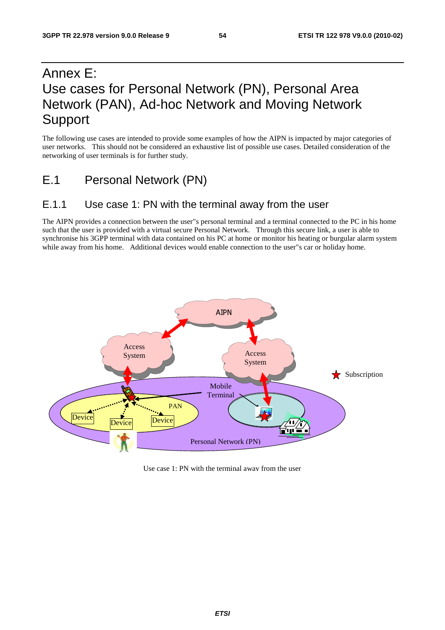## Annex E: Use cases for Personal Network (PN), Personal Area Network (PAN), Ad-hoc Network and Moving Network Support

The following use cases are intended to provide some examples of how the AIPN is impacted by major categories of user networks. This should not be considered an exhaustive list of possible use cases. Detailed consideration of the networking of user terminals is for further study.

E.1 Personal Network (PN)

### E.1.1 Use case 1: PN with the terminal away from the user

The AIPN provides a connection between the user"s personal terminal and a terminal connected to the PC in his home such that the user is provided with a virtual secure Personal Network. Through this secure link, a user is able to synchronise his 3GPP terminal with data contained on his PC at home or monitor his heating or burgular alarm system while away from his home. Additional devices would enable connection to the user"s car or holiday home.



Use case 1: PN with the terminal away from the user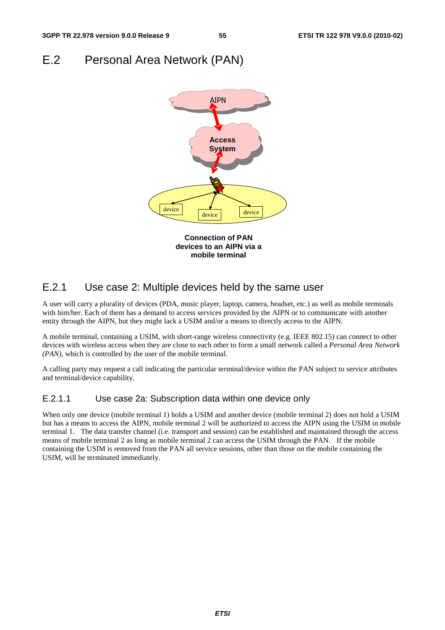## E.2 Personal Area Network (PAN)



### E.2.1 Use case 2: Multiple devices held by the same user

A user will carry a plurality of devices (PDA, music player, laptop, camera, headset, etc.) as well as mobile terminals with him/her. Each of them has a demand to access services provided by the AIPN or to communicate with another entity through the AIPN, but they might lack a USIM and/or a means to directly access to the AIPN.

A mobile terminal, containing a USIM, with short-range wireless connectivity (e.g. IEEE 802.15) can connect to other devices with wireless access when they are close to each other to form a small network called a *Personal Area Network (PAN),* which is controlled by the user of the mobile terminal.

A calling party may request a call indicating the particular terminal/device within the PAN subject to service attributes and terminal/device capability.

#### E.2.1.1 Use case 2a: Subscription data within one device only

When only one device (mobile terminal 1) holds a USIM and another device (mobile terminal 2) does not hold a USIM but has a means to access the AIPN, mobile terminal 2 will be authorized to access the AIPN using the USIM in mobile terminal 1. The data transfer channel (i.e. transport and session) can be established and maintained through the access means of mobile terminal 2 as long as mobile terminal 2 can access the USIM through the PAN. If the mobile containing the USIM is removed from the PAN all service sessions, other than those on the mobile containing the USIM, will be terminated immediately.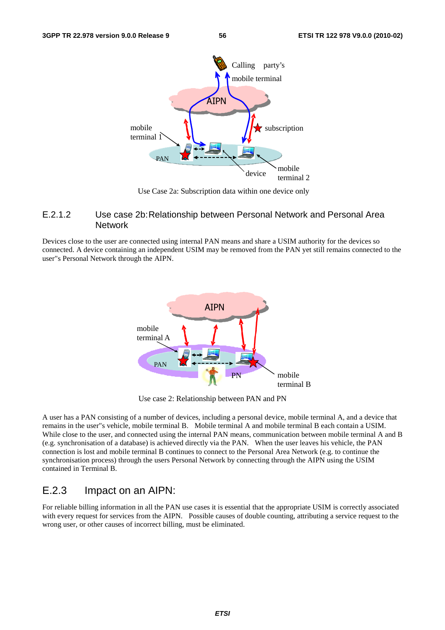

Use Case 2a: Subscription data within one device only

#### E.2.1.2 Use case 2b: Relationship between Personal Network and Personal Area Network

Devices close to the user are connected using internal PAN means and share a USIM authority for the devices so connected. A device containing an independent USIM may be removed from the PAN yet still remains connected to the user"s Personal Network through the AIPN.



Use case 2: Relationship between PAN and PN

A user has a PAN consisting of a number of devices, including a personal device, mobile terminal A, and a device that remains in the user"s vehicle, mobile terminal B. Mobile terminal A and mobile terminal B each contain a USIM. While close to the user, and connected using the internal PAN means, communication between mobile terminal A and B (e.g. synchronisation of a database) is achieved directly via the PAN. When the user leaves his vehicle, the PAN connection is lost and mobile terminal B continues to connect to the Personal Area Network (e.g. to continue the synchronisation process) through the users Personal Network by connecting through the AIPN using the USIM contained in Terminal B.

### E.2.3 Impact on an AIPN:

For reliable billing information in all the PAN use cases it is essential that the appropriate USIM is correctly associated with every request for services from the AIPN. Possible causes of double counting, attributing a service request to the wrong user, or other causes of incorrect billing, must be eliminated.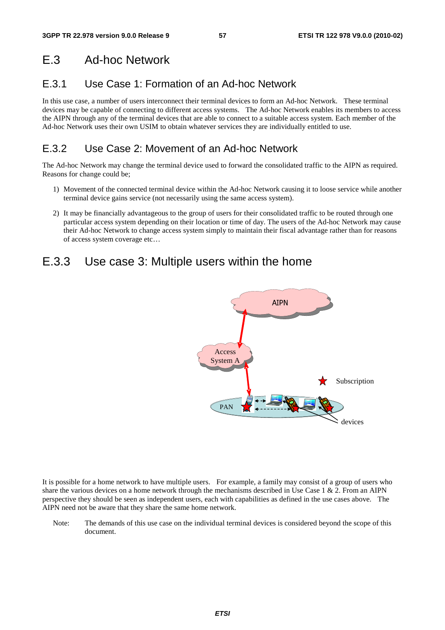## E.3 Ad-hoc Network

## E.3.1 Use Case 1: Formation of an Ad-hoc Network

In this use case, a number of users interconnect their terminal devices to form an Ad-hoc Network. These terminal devices may be capable of connecting to different access systems. The Ad-hoc Network enables its members to access the AIPN through any of the terminal devices that are able to connect to a suitable access system. Each member of the Ad-hoc Network uses their own USIM to obtain whatever services they are individually entitled to use.

## E.3.2 Use Case 2: Movement of an Ad-hoc Network

The Ad-hoc Network may change the terminal device used to forward the consolidated traffic to the AIPN as required. Reasons for change could be;

- 1) Movement of the connected terminal device within the Ad-hoc Network causing it to loose service while another terminal device gains service (not necessarily using the same access system).
- 2) It may be financially advantageous to the group of users for their consolidated traffic to be routed through one particular access system depending on their location or time of day. The users of the Ad-hoc Network may cause their Ad-hoc Network to change access system simply to maintain their fiscal advantage rather than for reasons of access system coverage etc…

## E.3.3 Use case 3: Multiple users within the home



It is possible for a home network to have multiple users. For example, a family may consist of a group of users who share the various devices on a home network through the mechanisms described in Use Case  $1 \& 2$ . From an AIPN perspective they should be seen as independent users, each with capabilities as defined in the use cases above. The AIPN need not be aware that they share the same home network.

Note: The demands of this use case on the individual terminal devices is considered beyond the scope of this document.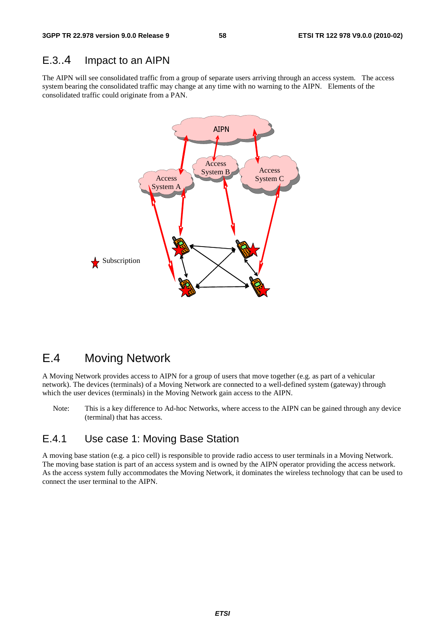### E.3..4 Impact to an AIPN

The AIPN will see consolidated traffic from a group of separate users arriving through an access system. The access system bearing the consolidated traffic may change at any time with no warning to the AIPN. Elements of the consolidated traffic could originate from a PAN.



## E.4 Moving Network

A Moving Network provides access to AIPN for a group of users that move together (e.g. as part of a vehicular network). The devices (terminals) of a Moving Network are connected to a well-defined system (gateway) through which the user devices (terminals) in the Moving Network gain access to the AIPN.

Note: This is a key difference to Ad-hoc Networks, where access to the AIPN can be gained through any device (terminal) that has access.

## E.4.1 Use case 1: Moving Base Station

A moving base station (e.g. a pico cell) is responsible to provide radio access to user terminals in a Moving Network. The moving base station is part of an access system and is owned by the AIPN operator providing the access network. As the access system fully accommodates the Moving Network, it dominates the wireless technology that can be used to connect the user terminal to the AIPN.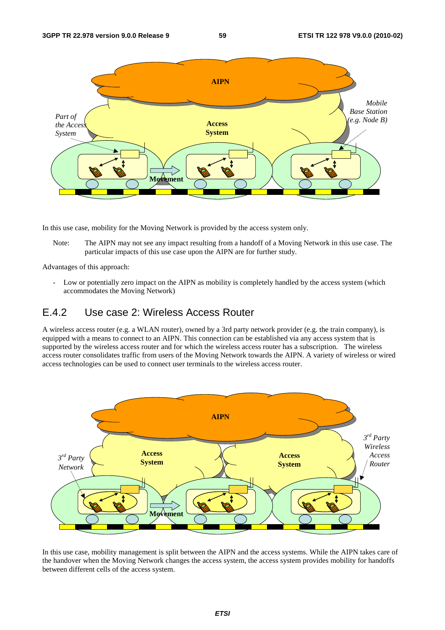

In this use case, mobility for the Moving Network is provided by the access system only.

Note: The AIPN may not see any impact resulting from a handoff of a Moving Network in this use case. The particular impacts of this use case upon the AIPN are for further study.

Advantages of this approach:

- Low or potentially zero impact on the AIPN as mobility is completely handled by the access system (which accommodates the Moving Network)

## E.4.2 Use case 2: Wireless Access Router

A wireless access router (e.g. a WLAN router), owned by a 3rd party network provider (e.g. the train company), is equipped with a means to connect to an AIPN. This connection can be established via any access system that is supported by the wireless access router and for which the wireless access router has a subscription. The wireless access router consolidates traffic from users of the Moving Network towards the AIPN. A variety of wireless or wired access technologies can be used to connect user terminals to the wireless access router.



In this use case, mobility management is split between the AIPN and the access systems. While the AIPN takes care of the handover when the Moving Network changes the access system, the access system provides mobility for handoffs between different cells of the access system.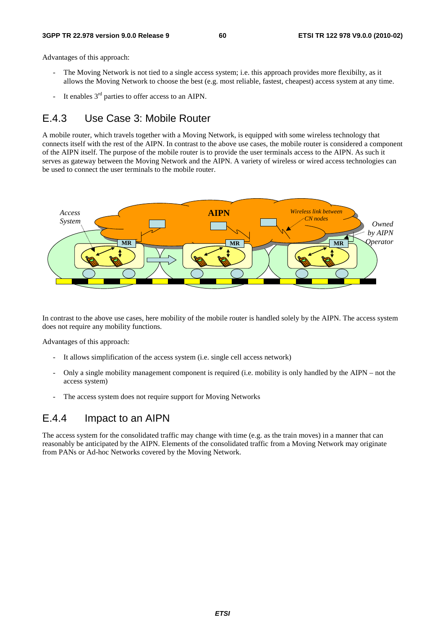#### **3GPP TR 22.978 version 9.0.0 Release 9 60 ETSI TR 122 978 V9.0.0 (2010-02)**

Advantages of this approach:

- The Moving Network is not tied to a single access system; i.e. this approach provides more flexibilty, as it allows the Moving Network to choose the best (e.g. most reliable, fastest, cheapest) access system at any time.
- It enables  $3<sup>rd</sup>$  parties to offer access to an AIPN.

## E.4.3 Use Case 3: Mobile Router

A mobile router, which travels together with a Moving Network, is equipped with some wireless technology that connects itself with the rest of the AIPN. In contrast to the above use cases, the mobile router is considered a component of the AIPN itself. The purpose of the mobile router is to provide the user terminals access to the AIPN. As such it serves as gateway between the Moving Network and the AIPN. A variety of wireless or wired access technologies can be used to connect the user terminals to the mobile router.



In contrast to the above use cases, here mobility of the mobile router is handled solely by the AIPN. The access system does not require any mobility functions.

Advantages of this approach:

- It allows simplification of the access system (i.e. single cell access network)
- Only a single mobility management component is required (i.e. mobility is only handled by the AIPN not the access system)
- The access system does not require support for Moving Networks

### E.4.4 Impact to an AIPN

The access system for the consolidated traffic may change with time (e.g. as the train moves) in a manner that can reasonably be anticipated by the AIPN. Elements of the consolidated traffic from a Moving Network may originate from PANs or Ad-hoc Networks covered by the Moving Network.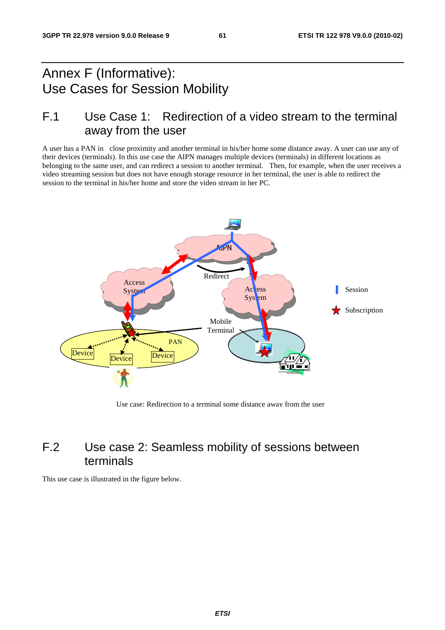## Annex F (Informative): Use Cases for Session Mobility

## F.1 Use Case 1: Redirection of a video stream to the terminal away from the user

A user has a PAN in close proximity and another terminal in his/her home some distance away. A user can use any of their devices (terminals). In this use case the AIPN manages multiple devices (terminals) in different locations as belonging to the same user, and can redirect a session to another terminal. Then, for example, when the user receives a video streaming session but does not have enough storage resource in her terminal, the user is able to redirect the session to the terminal in his/her home and store the video stream in her PC.



Use case: Redirection to a terminal some distance away from the user

## F.2 Use case 2: Seamless mobility of sessions between terminals

This use case is illustrated in the figure below.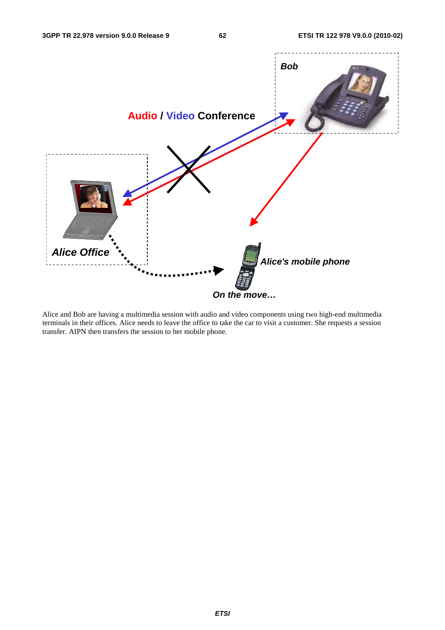

Alice and Bob are having a multimedia session with audio and video components using two high-end multimedia terminals in their offices. Alice needs to leave the office to take the car to visit a customer. She requests a session transfer. AIPN then transfers the session to her mobile phone.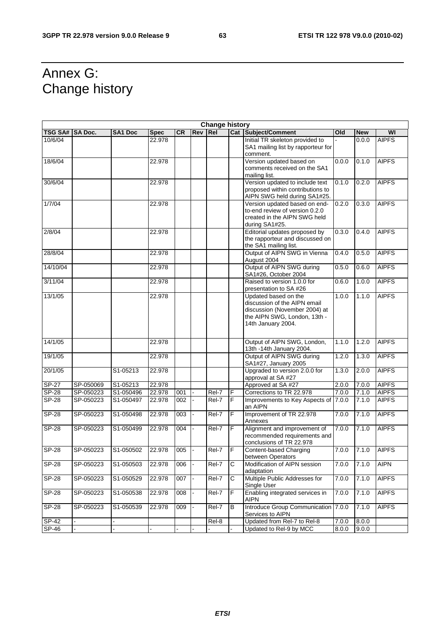## Annex G: Change history

| <b>Change history</b> |                |                |             |           |            |            |                |                                                                                                                                             |       |            |              |
|-----------------------|----------------|----------------|-------------|-----------|------------|------------|----------------|---------------------------------------------------------------------------------------------------------------------------------------------|-------|------------|--------------|
| <b>TSG SA#</b>        | <b>SA Doc.</b> | <b>SA1 Doc</b> | <b>Spec</b> | <b>CR</b> | <b>Rev</b> | <b>Rel</b> |                | <b>Cat Subject/Comment</b>                                                                                                                  | Old   | <b>New</b> | WI           |
| 10/6/04               |                |                | 22.978      |           |            |            |                | Initial TR skeleton provided to<br>SA1 mailing list by rapporteur for<br>comment.                                                           |       | 0.0.0      | <b>AIPFS</b> |
| 18/6/04               |                |                | 22.978      |           |            |            |                | Version updated based on<br>comments received on the SA1<br>mailing list.                                                                   | 0.0.0 | 0.1.0      | <b>AIPFS</b> |
| 30/6/04               |                |                | 22.978      |           |            |            |                | Version updated to include text<br>proposed within contributions to<br>AIPN SWG held during SA1#25.                                         | 0.1.0 | 0.2.0      | <b>AIPFS</b> |
| 1/7/04                |                |                | 22.978      |           |            |            |                | Version updated based on end-<br>to-end review of version 0.2.0<br>created in the AIPN SWG held<br>during SA1#25.                           | 0.2.0 | 0.3.0      | <b>AIPFS</b> |
| 2/8/04                |                |                | 22.978      |           |            |            |                | Editorial updates proposed by<br>the rapporteur and discussed on<br>the SA1 mailing list.                                                   | 0.3.0 | 0.4.0      | <b>AIPFS</b> |
| 28/8/04               |                |                | 22.978      |           |            |            |                | Output of AIPN SWG in Vienna<br>August 2004                                                                                                 | 0.4.0 | 0.5.0      | <b>AIPFS</b> |
| 14/10/04              |                |                | 22.978      |           |            |            |                | Output of AIPN SWG during<br>SA1#26, October 2004                                                                                           | 0.5.0 | 0.6.0      | <b>AIPFS</b> |
| 3/11/04               |                |                | 22.978      |           |            |            |                | Raised to version 1.0.0 for<br>presentation to SA #26                                                                                       | 0.6.0 | 1.0.0      | <b>AIPFS</b> |
| 13/1/05               |                |                | 22.978      |           |            |            |                | Updated based on the<br>discussion of the AIPN email<br>discussion (November 2004) at<br>the AIPN SWG, London, 13th -<br>14th January 2004. | 1.0.0 | 1.1.0      | <b>AIPFS</b> |
| 14/1/05               |                |                | 22.978      |           |            |            |                | Output of AIPN SWG, London,<br>13th -14th January 2004.                                                                                     | 1.1.0 | 1.2.0      | <b>AIPFS</b> |
| 19/1/05               |                |                | 22.978      |           |            |            |                | Output of AIPN SWG during<br>SA1#27, January 2005                                                                                           | 1.2.0 | 1.3.0      | <b>AIPFS</b> |
| 20/1/05               |                | S1-05213       | 22.978      |           |            |            |                | Upgraded to version 2.0.0 for<br>approval at SA #27                                                                                         | 1.3.0 | 2.0.0      | <b>AIPFS</b> |
| $SP-27$               | SP-050069      | S1-05213       | 22.978      |           |            |            |                | Approved at SA #27                                                                                                                          | 2.0.0 | 7.0.0      | <b>AIPFS</b> |
| $S P - 28$            | SP-050223      | S1-050496      | 22.978      | 001       |            | Rel-7      | F              | Corrections to TR 22.978                                                                                                                    | 7.0.0 | 7.1.0      | <b>AIPFS</b> |
| <b>SP-28</b>          | SP-050223      | S1-050497      | 22.978      | 002       |            | Rel-7      | $\overline{F}$ | Improvements to Key Aspects of<br>an AIPN                                                                                                   | 7.0.0 | 7.1.0      | <b>AIPFS</b> |
| $S P - 28$            | SP-050223      | S1-050498      | 22.978      | 003       |            | Rel-7      | F              | Improvement of TR 22.978<br>Annexes                                                                                                         | 7.0.0 | 7.1.0      | <b>AIPFS</b> |
| <b>SP-28</b>          | SP-050223      | S1-050499      | 22.978      | 004       |            | Rel-7      | F              | Alignment and improvement of<br>recommended requirements and<br>conclusions of TR 22.978                                                    | 7.0.0 | 7.1.0      | <b>AIPFS</b> |
| <b>SP-28</b>          | SP-050223      | S1-050502      | 22.978      | 005       |            | Rel-7      | F              | Content-based Charging<br>between Operators                                                                                                 | 7.0.0 | 7.1.0      | <b>AIPFS</b> |
| $SP-28$               | SP-050223      | S1-050503      | 22.978      | 006       |            | Rel-7      | $\mathsf{C}$   | Modification of AIPN session<br>adaptation                                                                                                  | 7.0.0 | 7.1.0      | <b>AIPN</b>  |
| $SP-28$               | SP-050223      | S1-050529      | 22.978      | 007       |            | Rel-7      | С              | Multiple Public Addresses for<br>Single User                                                                                                | 7.0.0 | 7.1.0      | <b>AIPFS</b> |
| $SP-28$               | SP-050223      | S1-050538      | 22.978      | 008       |            | Rel-7      | F              | Enabling integrated services in<br><b>AIPN</b>                                                                                              | 7.0.0 | 7.1.0      | <b>AIPFS</b> |
| SP-28                 | SP-050223      | S1-050539      | 22.978      | 009       | ÷,         | Rel-7      | B              | Introduce Group Communication<br>Services to AIPN                                                                                           | 7.0.0 | 7.1.0      | <b>AIPFS</b> |
| $SP-42$               |                |                |             |           |            | Rel-8      |                | Updated from Rel-7 to Rel-8                                                                                                                 | 7.0.0 | 8.0.0      |              |
| SP-46                 |                |                | ÷.          | a.        |            |            |                | Updated to Rel-9 by MCC                                                                                                                     | 8.0.0 | 9.0.0      |              |